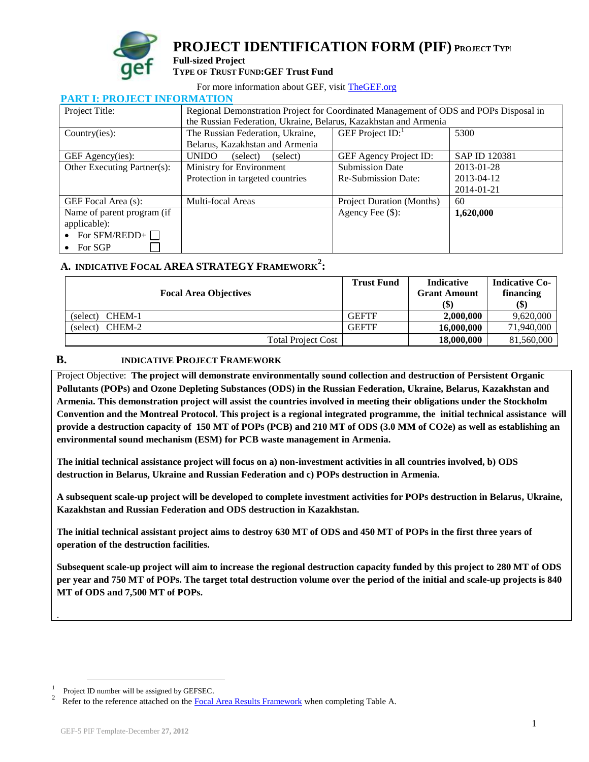

**PROJECT IDENTIFICATION FORM (PIF) <sup>P</sup>ROJECT TYPE:**

#### **Full-sized Project TYPE OF TRUST FUND:GEF Trust Fund**

For more information about GEF, visit [TheGEF.org](http://www.thegef.org/gef/home)

| TANI II TAVJECI IN VADATIVIN |                                      |                                                                                                                                                           |               |  |  |  |
|------------------------------|--------------------------------------|-----------------------------------------------------------------------------------------------------------------------------------------------------------|---------------|--|--|--|
| Project Title:               |                                      | Regional Demonstration Project for Coordinated Management of ODS and POPs Disposal in<br>the Russian Federation, Ukraine, Belarus, Kazakhstan and Armenia |               |  |  |  |
|                              |                                      |                                                                                                                                                           |               |  |  |  |
| Country(ies):                | The Russian Federation, Ukraine,     | GEF Project $ID:$                                                                                                                                         | 5300          |  |  |  |
|                              | Belarus, Kazakhstan and Armenia      |                                                                                                                                                           |               |  |  |  |
| GEF Agency(ies):             | <b>UNIDO</b><br>(select)<br>(select) | GEF Agency Project ID:                                                                                                                                    | SAP ID 120381 |  |  |  |
| Other Executing Partner(s):  | Ministry for Environment             | <b>Submission Date</b>                                                                                                                                    | 2013-01-28    |  |  |  |
|                              | Protection in targeted countries     | <b>Re-Submission Date:</b>                                                                                                                                | 2013-04-12    |  |  |  |
|                              |                                      |                                                                                                                                                           | 2014-01-21    |  |  |  |
| GEF Focal Area (s):          | Multi-focal Areas                    | Project Duration (Months)                                                                                                                                 | 60            |  |  |  |
| Name of parent program (if   |                                      | Agency Fee $(\$)$ :                                                                                                                                       | 1,620,000     |  |  |  |
| applicable):                 |                                      |                                                                                                                                                           |               |  |  |  |
| • For $SFM/REDD+$            |                                      |                                                                                                                                                           |               |  |  |  |
| $\bullet$ For SGP            |                                      |                                                                                                                                                           |               |  |  |  |

#### **PART I: PROJECT INFORMATION**

## **A. INDICATIVE FOCAL AREA [STRATEGY](http://www.thegef.org/gef/sites/thegef.org/files/documents/document/GEF5-Template%20Reference%20Guide%209-14-10rev11-18-2010.doc) FRAMEWORK<sup>2</sup> :**

|                              | <b>Trust Fund</b> | <b>Indicative</b>   | <b>Indicative Co-</b> |
|------------------------------|-------------------|---------------------|-----------------------|
| <b>Focal Area Objectives</b> |                   | <b>Grant Amount</b> | financing             |
|                              |                   | (\$)                | <b>(\$)</b>           |
| CHEM-1<br>(select)           | <b>GEFTF</b>      | 2.000.000           | 9,620,000             |
| CHEM-2<br>(select)           | <b>GEFTF</b>      | 16,000,000          | 71,940,000            |
| <b>Total Project Cost</b>    |                   | 18,000,000          | 81,560,000            |

#### **B. INDICATIVE PROJECT FRAMEWORK**

Project Objective: **The project will demonstrate environmentally sound collection and destruction of Persistent Organic Pollutants (POPs) and Ozone Depleting Substances (ODS) in the Russian Federation, Ukraine, Belarus, Kazakhstan and Armenia. This demonstration project will assist the countries involved in meeting their obligations under the Stockholm Convention and the Montreal Protocol. This project is a regional integrated programme, the initial technical assistance will provide a destruction capacity of 150 MT of POPs (PCB) and 210 MT of ODS (3.0 MM of CO2e) as well as establishing an environmental sound mechanism (ESM) for PCB waste management in Armenia.** 

**The initial technical assistance project will focus on a) non-investment activities in all countries involved, b) ODS destruction in Belarus, Ukraine and Russian Federation and c) POPs destruction in Armenia.** 

**A subsequent scale-up project will be developed to complete investment activities for POPs destruction in Belarus, Ukraine, Kazakhstan and Russian Federation and ODS destruction in Kazakhstan.**

**The initial technical assistant project aims to destroy 630 MT of ODS and 450 MT of POPs in the first three years of operation of the destruction facilities.**

**Subsequent scale-up project will aim to increase the regional destruction capacity funded by this project to 280 MT of ODS per year and 750 MT of POPs. The target total destruction volume over the period of the initial and scale-up projects is 840 MT of ODS and 7,500 MT of POPs.** 

.

 $\overline{a}$ 

<sup>1</sup> Project ID number will be assigned by GEFSEC.

<sup>2</sup> Refer to the reference attached on the [Focal Area Results Framework](http://www.thegef.org/gef/sites/thegef.org/files/documents/document/GEF5-Template%20Reference%20Guide%209-14-10rev11-18-2010.doc) when completing Table A.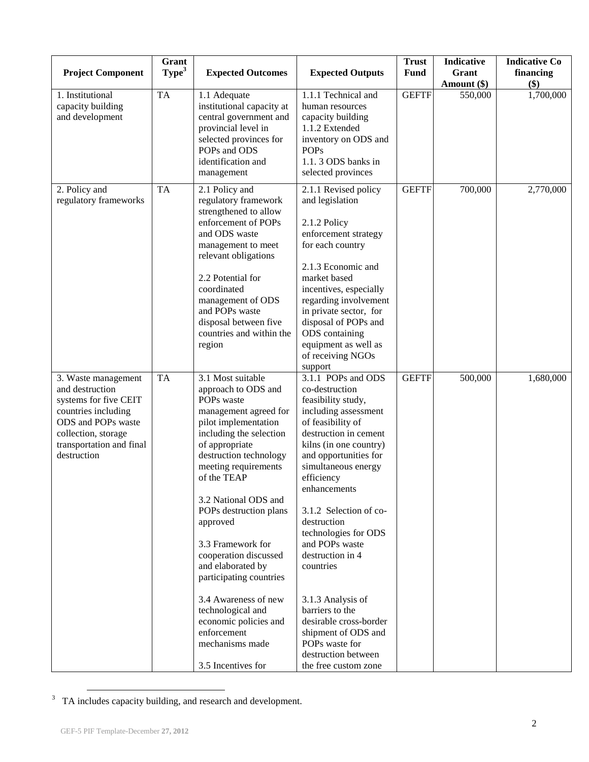| <b>Project Component</b>                                                                                                                                                       | Grant<br>Type <sup>3</sup> | <b>Expected Outcomes</b>                                                                                                                                                                                                                                                                                                                                                                                                                                                                                                                                                                                                                    | <b>Expected Outputs</b>                                                                                                                                                                                                                                                                                                                                                                                                                                                                                                | <b>Trust</b><br><b>Fund</b> | Indicative<br>Grant<br>Amount (\$) | <b>Indicative Co</b><br>financing<br>\$) |
|--------------------------------------------------------------------------------------------------------------------------------------------------------------------------------|----------------------------|---------------------------------------------------------------------------------------------------------------------------------------------------------------------------------------------------------------------------------------------------------------------------------------------------------------------------------------------------------------------------------------------------------------------------------------------------------------------------------------------------------------------------------------------------------------------------------------------------------------------------------------------|------------------------------------------------------------------------------------------------------------------------------------------------------------------------------------------------------------------------------------------------------------------------------------------------------------------------------------------------------------------------------------------------------------------------------------------------------------------------------------------------------------------------|-----------------------------|------------------------------------|------------------------------------------|
| 1. Institutional<br>capacity building<br>and development                                                                                                                       | <b>TA</b>                  | 1.1 Adequate<br>institutional capacity at<br>central government and<br>provincial level in<br>selected provinces for<br>POPs and ODS<br>identification and<br>management                                                                                                                                                                                                                                                                                                                                                                                                                                                                    | 1.1.1 Technical and<br>human resources<br>capacity building<br>1.1.2 Extended<br>inventory on ODS and<br><b>POPs</b><br>1.1.3 ODS banks in<br>selected provinces                                                                                                                                                                                                                                                                                                                                                       | <b>GEFTF</b>                | 550,000                            | 1,700,000                                |
| 2. Policy and<br>regulatory frameworks                                                                                                                                         | <b>TA</b>                  | <b>GEFTF</b><br>2.1 Policy and<br>2.1.1 Revised policy<br>regulatory framework<br>and legislation<br>strengthened to allow<br>enforcement of POPs<br>2.1.2 Policy<br>and ODS waste<br>enforcement strategy<br>for each country<br>management to meet<br>relevant obligations<br>2.1.3 Economic and<br>2.2 Potential for<br>market based<br>coordinated<br>incentives, especially<br>regarding involvement<br>management of ODS<br>and POPs waste<br>in private sector, for<br>disposal between five<br>disposal of POPs and<br>countries and within the<br>ODS containing<br>equipment as well as<br>region<br>of receiving NGOs<br>support |                                                                                                                                                                                                                                                                                                                                                                                                                                                                                                                        | 700,000                     | 2,770,000                          |                                          |
| 3. Waste management<br>and destruction<br>systems for five CEIT<br>countries including<br>ODS and POPs waste<br>collection, storage<br>transportation and final<br>destruction | <b>TA</b>                  | 3.1 Most suitable<br>approach to ODS and<br>POPs waste<br>management agreed for<br>pilot implementation<br>including the selection<br>of appropriate<br>destruction technology<br>meeting requirements<br>of the TEAP<br>3.2 National ODS and<br>POPs destruction plans<br>approved<br>3.3 Framework for<br>cooperation discussed<br>and elaborated by<br>participating countries<br>3.4 Awareness of new<br>technological and<br>economic policies and<br>enforcement<br>mechanisms made<br>3.5 Incentives for                                                                                                                             | 3.1.1 POPs and ODS<br>co-destruction<br>feasibility study,<br>including assessment<br>of feasibility of<br>destruction in cement<br>kilns (in one country)<br>and opportunities for<br>simultaneous energy<br>efficiency<br>enhancements<br>3.1.2 Selection of co-<br>destruction<br>technologies for ODS<br>and POPs waste<br>destruction in 4<br>countries<br>3.1.3 Analysis of<br>barriers to the<br>desirable cross-border<br>shipment of ODS and<br>POPs waste for<br>destruction between<br>the free custom zone | <b>GEFTF</b>                | 500,000                            | 1,680,000                                |

<sup>&</sup>lt;sup>3</sup> TA includes capacity building, and research and development.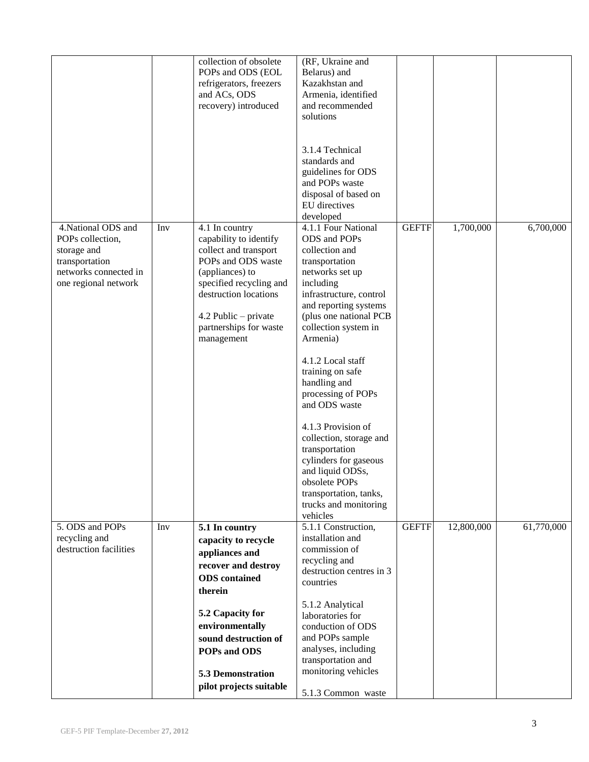|                                                                                                                           |     | collection of obsolete<br>POPs and ODS (EOL<br>refrigerators, freezers<br>and ACs, ODS<br>recovery) introduced                                                                                                                 | (RF, Ukraine and<br>Belarus) and<br>Kazakhstan and<br>Armenia, identified<br>and recommended<br>solutions<br>3.1.4 Technical<br>standards and<br>guidelines for ODS                                                                                                                                                                                                                                                                                                                                                       |              |            |            |
|---------------------------------------------------------------------------------------------------------------------------|-----|--------------------------------------------------------------------------------------------------------------------------------------------------------------------------------------------------------------------------------|---------------------------------------------------------------------------------------------------------------------------------------------------------------------------------------------------------------------------------------------------------------------------------------------------------------------------------------------------------------------------------------------------------------------------------------------------------------------------------------------------------------------------|--------------|------------|------------|
|                                                                                                                           |     |                                                                                                                                                                                                                                | and POPs waste<br>disposal of based on<br>EU directives<br>developed                                                                                                                                                                                                                                                                                                                                                                                                                                                      |              |            |            |
| 4. National ODS and<br>POPs collection,<br>storage and<br>transportation<br>networks connected in<br>one regional network | Inv | 4.1 In country<br>capability to identify<br>collect and transport<br>POPs and ODS waste<br>(appliances) to<br>specified recycling and<br>destruction locations<br>4.2 Public - private<br>partnerships for waste<br>management | 4.1.1 Four National<br>ODS and POPs<br>collection and<br>transportation<br>networks set up<br>including<br>infrastructure, control<br>and reporting systems<br>(plus one national PCB<br>collection system in<br>Armenia)<br>4.1.2 Local staff<br>training on safe<br>handling and<br>processing of POPs<br>and ODS waste<br>4.1.3 Provision of<br>collection, storage and<br>transportation<br>cylinders for gaseous<br>and liquid ODSs,<br>obsolete POPs<br>transportation, tanks,<br>trucks and monitoring<br>vehicles | <b>GEFTF</b> | 1,700,000  | 6,700,000  |
| 5. ODS and POPs<br>recycling and<br>destruction facilities                                                                | Inv | 5.1 In country<br>capacity to recycle<br>appliances and<br>recover and destroy<br><b>ODS</b> contained<br>therein                                                                                                              | 5.1.1 Construction,<br>installation and<br>commission of<br>recycling and<br>destruction centres in 3<br>countries                                                                                                                                                                                                                                                                                                                                                                                                        | <b>GEFTF</b> | 12,800,000 | 61,770,000 |
|                                                                                                                           |     | 5.2 Capacity for<br>environmentally<br>sound destruction of<br>POPs and ODS<br><b>5.3 Demonstration</b><br>pilot projects suitable                                                                                             | 5.1.2 Analytical<br>laboratories for<br>conduction of ODS<br>and POPs sample<br>analyses, including<br>transportation and<br>monitoring vehicles<br>5.1.3 Common waste                                                                                                                                                                                                                                                                                                                                                    |              |            |            |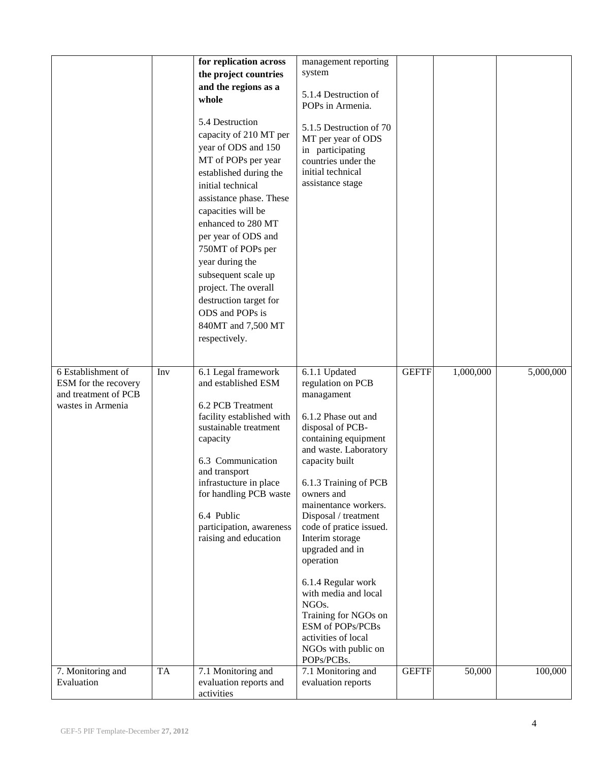|                                                                                         |           | for replication across<br>the project countries<br>and the regions as a<br>whole<br>5.4 Destruction<br>capacity of 210 MT per<br>year of ODS and 150<br>MT of POPs per year<br>established during the<br>initial technical<br>assistance phase. These<br>capacities will be<br>enhanced to 280 MT<br>per year of ODS and<br>750MT of POPs per<br>year during the<br>subsequent scale up<br>project. The overall<br>destruction target for<br>ODS and POPs is<br>840MT and 7,500 MT | management reporting<br>system<br>5.1.4 Destruction of<br>POPs in Armenia.<br>5.1.5 Destruction of 70<br>MT per year of ODS<br>in participating<br>countries under the<br>initial technical<br>assistance stage                                                                                                                                                                                                                                                                                                 |              |           |           |
|-----------------------------------------------------------------------------------------|-----------|------------------------------------------------------------------------------------------------------------------------------------------------------------------------------------------------------------------------------------------------------------------------------------------------------------------------------------------------------------------------------------------------------------------------------------------------------------------------------------|-----------------------------------------------------------------------------------------------------------------------------------------------------------------------------------------------------------------------------------------------------------------------------------------------------------------------------------------------------------------------------------------------------------------------------------------------------------------------------------------------------------------|--------------|-----------|-----------|
| 6 Establishment of<br>ESM for the recovery<br>and treatment of PCB<br>wastes in Armenia | Inv       | respectively.<br>6.1 Legal framework<br>and established ESM<br>6.2 PCB Treatment<br>facility established with<br>sustainable treatment<br>capacity<br>6.3 Communication<br>and transport<br>infrastucture in place<br>for handling PCB waste<br>6.4 Public<br>participation, awareness<br>raising and education                                                                                                                                                                    | 6.1.1 Updated<br>regulation on PCB<br>managament<br>6.1.2 Phase out and<br>disposal of PCB-<br>containing equipment<br>and waste. Laboratory<br>capacity built<br>6.1.3 Training of PCB<br>owners and<br>mainentance workers.<br>Disposal / treatment<br>code of pratice issued.<br>Interim storage<br>upgraded and in<br>operation<br>6.1.4 Regular work<br>with media and local<br>NGO <sub>s</sub> .<br>Training for NGOs on<br>ESM of POPs/PCBs<br>activities of local<br>NGOs with public on<br>POPs/PCBs. | <b>GEFTF</b> | 1,000,000 | 5,000,000 |
| 7. Monitoring and<br>Evaluation                                                         | <b>TA</b> | 7.1 Monitoring and<br>evaluation reports and<br>activities                                                                                                                                                                                                                                                                                                                                                                                                                         | 7.1 Monitoring and<br>evaluation reports                                                                                                                                                                                                                                                                                                                                                                                                                                                                        | <b>GEFTF</b> | 50,000    | 100,000   |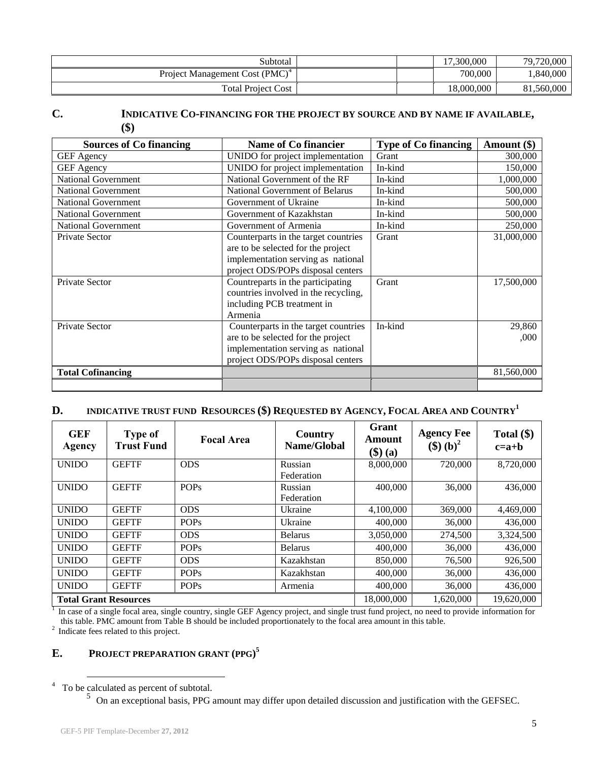| Subtotal                                   | 17.300.000 | 79,720,000 |
|--------------------------------------------|------------|------------|
| Project Management Cost (PMC) <sup>4</sup> | 700,000    | 1,840,000  |
| <b>Total Project Cost</b>                  | 18,000,000 | 81,560,000 |

### **C. INDICATIVE CO-[FINANCING](http://gefweb.org/Documents/Council_Documents/GEF_C21/C.20.6.Rev.1.pdf) FOR THE PROJECT BY SOURCE AND BY NAME IF AVAILABLE, (\$)**

| <b>Sources of Co financing</b> | Name of Co financier                                                                                                                                  | <b>Type of Co financing</b> | Amount (\$)    |
|--------------------------------|-------------------------------------------------------------------------------------------------------------------------------------------------------|-----------------------------|----------------|
| <b>GEF</b> Agency              | UNIDO for project implementation                                                                                                                      | Grant                       | 300,000        |
| <b>GEF</b> Agency              | UNIDO for project implementation                                                                                                                      | In-kind                     | 150,000        |
| <b>National Government</b>     | National Government of the RF                                                                                                                         | In-kind                     | 1,000,000      |
| <b>National Government</b>     | National Government of Belarus                                                                                                                        | In-kind                     | 500,000        |
| <b>National Government</b>     | Government of Ukraine                                                                                                                                 | In-kind                     | 500,000        |
| <b>National Government</b>     | Government of Kazakhstan                                                                                                                              | In-kind                     | 500,000        |
| <b>National Government</b>     | Government of Armenia                                                                                                                                 | In-kind                     | 250,000        |
| Private Sector                 | Counterparts in the target countries<br>are to be selected for the project<br>implementation serving as national<br>project ODS/POPs disposal centers | Grant                       | 31,000,000     |
| Private Sector                 | Countreparts in the participating<br>countries involved in the recycling,<br>including PCB treatment in<br>Armenia                                    | Grant                       | 17,500,000     |
| Private Sector                 | Counterparts in the target countries<br>are to be selected for the project<br>implementation serving as national<br>project ODS/POPs disposal centers | In-kind                     | 29,860<br>,000 |
| <b>Total Cofinancing</b>       |                                                                                                                                                       |                             | 81,560,000     |
|                                |                                                                                                                                                       |                             |                |

### **D. INDICATIVE TRUST FUND RESOURCES (\$) REQUESTED BY AGENCY, FOCAL AREA AND COUNTRY<sup>1</sup>**

| <b>GEF</b><br>Agency         | <b>Type of</b><br><b>Trust Fund</b> | <b>Focal Area</b> | Country<br>Name/Global | Grant<br>Amount<br>$(\mathbf{\$})$ (a) | <b>Agency Fee</b><br>$(\$) (b)^2$ | Total $(\$)$<br>$c=a+b$ |
|------------------------------|-------------------------------------|-------------------|------------------------|----------------------------------------|-----------------------------------|-------------------------|
| <b>UNIDO</b>                 | <b>GEFTF</b>                        | <b>ODS</b>        | Russian                | 8,000,000                              | 720,000                           | 8,720,000               |
|                              |                                     |                   | Federation             |                                        |                                   |                         |
| <b>UNIDO</b>                 | <b>GEFTF</b>                        | <b>POPs</b>       | Russian                | 400,000                                | 36,000                            | 436,000                 |
|                              |                                     |                   | Federation             |                                        |                                   |                         |
| <b>UNIDO</b>                 | <b>GEFTF</b>                        | <b>ODS</b>        | Ukraine                | 4,100,000                              | 369,000                           | 4,469,000               |
| <b>UNIDO</b>                 | <b>GEFTF</b>                        | <b>POPs</b>       | Ukraine                | 400,000                                | 36,000                            | 436,000                 |
| <b>UNIDO</b>                 | <b>GEFTF</b>                        | <b>ODS</b>        | <b>Belarus</b>         | 3,050,000                              | 274,500                           | 3,324,500               |
| <b>UNIDO</b>                 | <b>GEFTF</b>                        | <b>POPs</b>       | <b>Belarus</b>         | 400,000                                | 36,000                            | 436,000                 |
| <b>UNIDO</b>                 | <b>GEFTF</b>                        | <b>ODS</b>        | Kazakhstan             | 850,000                                | 76,500                            | 926,500                 |
| <b>UNIDO</b>                 | <b>GEFTF</b>                        | <b>POPs</b>       | Kazakhstan             | 400,000                                | 36,000                            | 436,000                 |
| <b>UNIDO</b>                 | <b>GEFTF</b>                        | <b>POPs</b>       | Armenia                | 400,000                                | 36,000                            | 436,000                 |
| <b>Total Grant Resources</b> |                                     |                   |                        | 18,000,000                             | 1,620,000                         | 19,620,000              |

<sup>1</sup> In case of a single focal area, single country, single GEF Agency project, and single trust fund project, no need to provide information for this table. PMC amount from Table B should be included proportionately to the focal area amount in this table.

<sup>2</sup> Indicate fees related to this project.

### **E. PROJECT PREPARATION GRANT (PPG) 5**

<sup>&</sup>lt;sup>4</sup> To be calculated as percent of subtotal.<br><sup>5</sup> On an exceptional basis, PPG amount may differ upon detailed discussion and justification with the GEFSEC.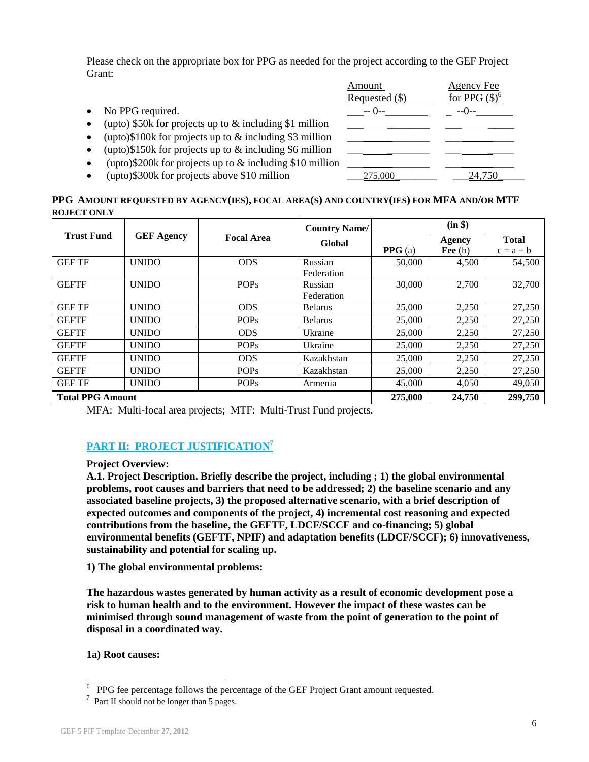Please check on the appropriate box for PPG as needed for the project according to the GEF Project Grant:

|           |                                                            | Amount           | Agency Fee              |
|-----------|------------------------------------------------------------|------------------|-------------------------|
|           |                                                            | Requested $(\$)$ | for PPG $(\text{\$})^6$ |
| $\bullet$ | No PPG required.                                           | $--$ ( )--       | $-(-1)$                 |
| $\bullet$ | (upto) $$50k$ for projects up to $&$ including \$1 million |                  |                         |
| $\bullet$ | (upto)\$100k for projects up to $\&$ including \$3 million |                  |                         |
| $\bullet$ | (upto)\$150k for projects up to $\&$ including \$6 million |                  |                         |
| $\bullet$ | (upto)\$200k for projects up to $&$ including \$10 million |                  |                         |
| $\bullet$ | (upto)\$300k for projects above \$10 million               | 275,000          | 24,750                  |

#### PPG AMOUNT REQUESTED BY AGENCY(IES), FOCAL AREA(S) AND COUNTRY(IES) FOR MFA AND/OR MTF **ROJECT ONLY**

|                         |                   |                   | <b>Country Name/</b> | (in \$) |           |              |  |
|-------------------------|-------------------|-------------------|----------------------|---------|-----------|--------------|--|
| <b>Trust Fund</b>       | <b>GEF Agency</b> | <b>Focal Area</b> | Global               |         | Agency    | <b>Total</b> |  |
|                         |                   |                   |                      | PPG(a)  | Fee $(b)$ | $c = a + b$  |  |
| <b>GEF TF</b>           | <b>UNIDO</b>      | <b>ODS</b>        | Russian              | 50,000  | 4,500     | 54,500       |  |
|                         |                   |                   | Federation           |         |           |              |  |
| <b>GEFTF</b>            | <b>UNIDO</b>      | <b>POPs</b>       | Russian              | 30,000  | 2,700     | 32,700       |  |
|                         |                   |                   | Federation           |         |           |              |  |
| <b>GEF TF</b>           | <b>UNIDO</b>      | <b>ODS</b>        | <b>Belarus</b>       | 25,000  | 2,250     | 27,250       |  |
| <b>GEFTF</b>            | <b>UNIDO</b>      | <b>POPs</b>       | <b>Belarus</b>       | 25,000  | 2,250     | 27,250       |  |
| <b>GEFTF</b>            | <b>UNIDO</b>      | <b>ODS</b>        | Ukraine              | 25,000  | 2,250     | 27,250       |  |
| <b>GEFTF</b>            | <b>UNIDO</b>      | <b>POPs</b>       | Ukraine              | 25,000  | 2,250     | 27,250       |  |
| <b>GEFTF</b>            | <b>UNIDO</b>      | <b>ODS</b>        | Kazakhstan           | 25,000  | 2,250     | 27,250       |  |
| <b>GEFTF</b>            | <b>UNIDO</b>      | <b>POPs</b>       | Kazakhstan           | 25,000  | 2,250     | 27,250       |  |
| <b>GEF TF</b>           | <b>UNIDO</b>      | <b>POPs</b>       | Armenia              | 45,000  | 4,050     | 49,050       |  |
| <b>Total PPG Amount</b> |                   |                   |                      | 275,000 | 24,750    | 299,750      |  |

MFA: Multi-focal area projects; MTF: Multi-Trust Fund projects.

### **PART II: PROJECT JUSTIFICATION<sup>7</sup>**

#### **Project Overview:**

**A.1. Project Description. Briefly describe the project, including ; 1) the global environmental problems, root causes and barriers that need to be addressed; 2) the baseline scenario and any associated baseline projects, 3) the proposed alternative scenario, with a brief description of expected outcomes and components of the project, 4) incremental cost reasoning and expected contributions from the baseline, the GEFTF, LDCF/SCCF and co-financing; 5) global environmental benefits (GEFTF, NPIF) and adaptation benefits (LDCF/SCCF); 6) innovativeness, sustainability and potential for scaling up.**

**1) The global environmental problems:** 

**The hazardous wastes generated by human activity as a result of economic development pose a risk to human health and to the environment. However the impact of these wastes can be minimised through sound management of waste from the point of generation to the point of disposal in a coordinated way.** 

#### **1a) Root causes:**

 6 PPG fee percentage follows the percentage of the GEF Project Grant amount requested.

<sup>&</sup>lt;sup>7</sup> Part II should not be longer than 5 pages.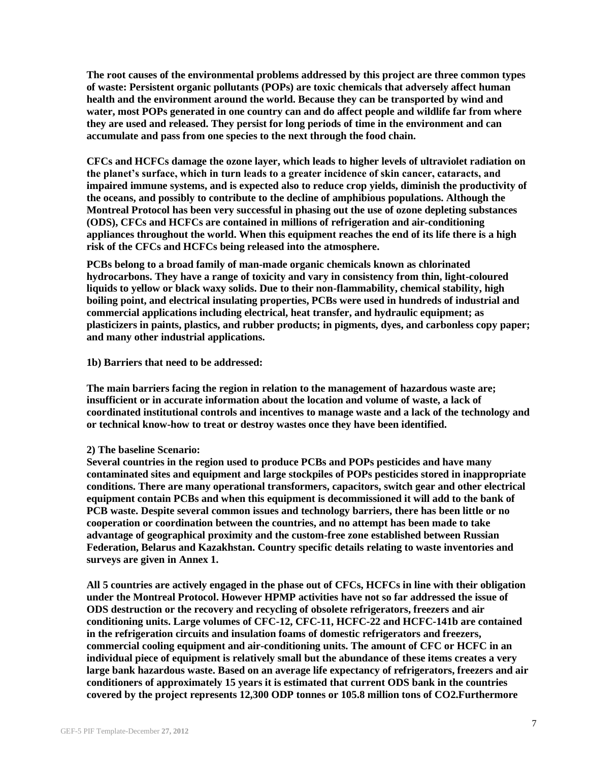**The root causes of the environmental problems addressed by this project are three common types of waste: Persistent organic pollutants (POPs) are toxic chemicals that adversely affect human health and the environment around the world. Because they can be transported by wind and water, most POPs generated in one country can and do affect people and wildlife far from where they are used and released. They persist for long periods of time in the environment and can accumulate and pass from one species to the next through the food chain.**

**CFCs and HCFCs damage the ozone layer, which leads to higher levels of ultraviolet radiation on the planet's surface, which in turn leads to a greater incidence of skin cancer, cataracts, and impaired immune systems, and is expected also to reduce crop yields, diminish the productivity of the oceans, and possibly to contribute to the decline of amphibious populations. Although the Montreal Protocol has been very successful in phasing out the use of ozone depleting substances (ODS), CFCs and HCFCs are contained in millions of refrigeration and air-conditioning appliances throughout the world. When this equipment reaches the end of its life there is a high risk of the CFCs and HCFCs being released into the atmosphere.**

**PCBs belong to a broad family of man-made organic chemicals known as chlorinated hydrocarbons. They have a range of toxicity and vary in consistency from thin, light-coloured liquids to yellow or black waxy solids. Due to their non-flammability, chemical stability, high boiling point, and electrical insulating properties, PCBs were used in hundreds of industrial and commercial applications including electrical, heat transfer, and hydraulic equipment; as plasticizers in paints, plastics, and rubber products; in pigments, dyes, and carbonless copy paper; and many other industrial applications.**

#### **1b) Barriers that need to be addressed:**

**The main barriers facing the region in relation to the management of hazardous waste are; insufficient or in accurate information about the location and volume of waste, a lack of coordinated institutional controls and incentives to manage waste and a lack of the technology and or technical know-how to treat or destroy wastes once they have been identified.**

#### **2) The baseline Scenario:**

**Several countries in the region used to produce PCBs and POPs pesticides and have many contaminated sites and equipment and large stockpiles of POPs pesticides stored in inappropriate conditions. There are many operational transformers, capacitors, switch gear and other electrical equipment contain PCBs and when this equipment is decommissioned it will add to the bank of PCB waste. Despite several common issues and technology barriers, there has been little or no cooperation or coordination between the countries, and no attempt has been made to take advantage of geographical proximity and the custom-free zone established between Russian Federation, Belarus and Kazakhstan. Country specific details relating to waste inventories and surveys are given in Annex 1.**

**All 5 countries are actively engaged in the phase out of CFCs, HCFCs in line with their obligation under the Montreal Protocol. However HPMP activities have not so far addressed the issue of ODS destruction or the recovery and recycling of obsolete refrigerators, freezers and air conditioning units. Large volumes of CFC-12, CFC-11, HCFC-22 and HCFC-141b are contained in the refrigeration circuits and insulation foams of domestic refrigerators and freezers, commercial cooling equipment and air-conditioning units. The amount of CFC or HCFC in an individual piece of equipment is relatively small but the abundance of these items creates a very large bank hazardous waste. Based on an average life expectancy of refrigerators, freezers and air conditioners of approximately 15 years it is estimated that current ODS bank in the countries covered by the project represents 12,300 ODP tonnes or 105.8 million tons of CO2.Furthermore**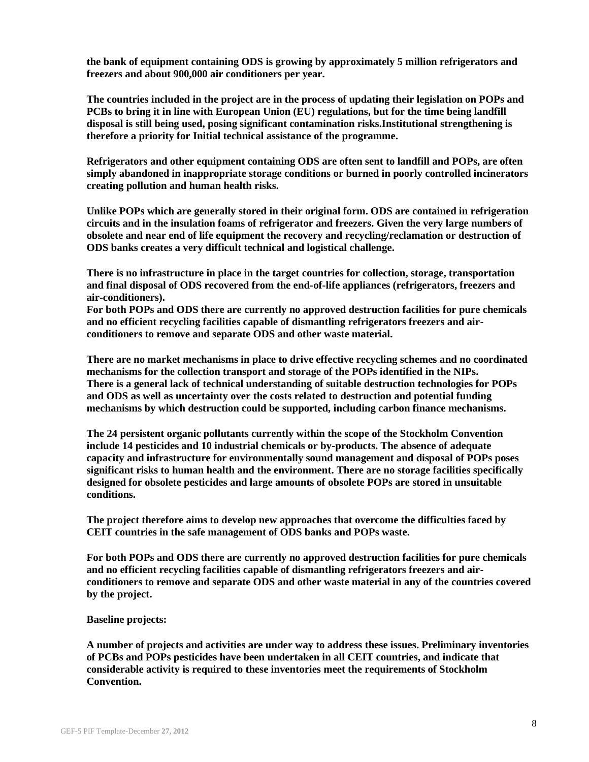**the bank of equipment containing ODS is growing by approximately 5 million refrigerators and freezers and about 900,000 air conditioners per year.**

**The countries included in the project are in the process of updating their legislation on POPs and PCBs to bring it in line with European Union (EU) regulations, but for the time being landfill disposal is still being used, posing significant contamination risks.Institutional strengthening is therefore a priority for Initial technical assistance of the programme.**

**Refrigerators and other equipment containing ODS are often sent to landfill and POPs, are often simply abandoned in inappropriate storage conditions or burned in poorly controlled incinerators creating pollution and human health risks.**

**Unlike POPs which are generally stored in their original form. ODS are contained in refrigeration circuits and in the insulation foams of refrigerator and freezers. Given the very large numbers of obsolete and near end of life equipment the recovery and recycling/reclamation or destruction of ODS banks creates a very difficult technical and logistical challenge.**

**There is no infrastructure in place in the target countries for collection, storage, transportation and final disposal of ODS recovered from the end-of-life appliances (refrigerators, freezers and air-conditioners).**

**For both POPs and ODS there are currently no approved destruction facilities for pure chemicals and no efficient recycling facilities capable of dismantling refrigerators freezers and airconditioners to remove and separate ODS and other waste material.**

**There are no market mechanisms in place to drive effective recycling schemes and no coordinated mechanisms for the collection transport and storage of the POPs identified in the NIPs. There is a general lack of technical understanding of suitable destruction technologies for POPs and ODS as well as uncertainty over the costs related to destruction and potential funding mechanisms by which destruction could be supported, including carbon finance mechanisms.**

**The 24 persistent organic pollutants currently within the scope of the Stockholm Convention include 14 pesticides and 10 industrial chemicals or by-products. The absence of adequate capacity and infrastructure for environmentally sound management and disposal of POPs poses significant risks to human health and the environment. There are no storage facilities specifically designed for obsolete pesticides and large amounts of obsolete POPs are stored in unsuitable conditions.** 

**The project therefore aims to develop new approaches that overcome the difficulties faced by CEIT countries in the safe management of ODS banks and POPs waste.**

**For both POPs and ODS there are currently no approved destruction facilities for pure chemicals and no efficient recycling facilities capable of dismantling refrigerators freezers and airconditioners to remove and separate ODS and other waste material in any of the countries covered by the project.**

#### **Baseline projects:**

**A number of projects and activities are under way to address these issues. Preliminary inventories of PCBs and POPs pesticides have been undertaken in all CEIT countries, and indicate that considerable activity is required to these inventories meet the requirements of Stockholm Convention.**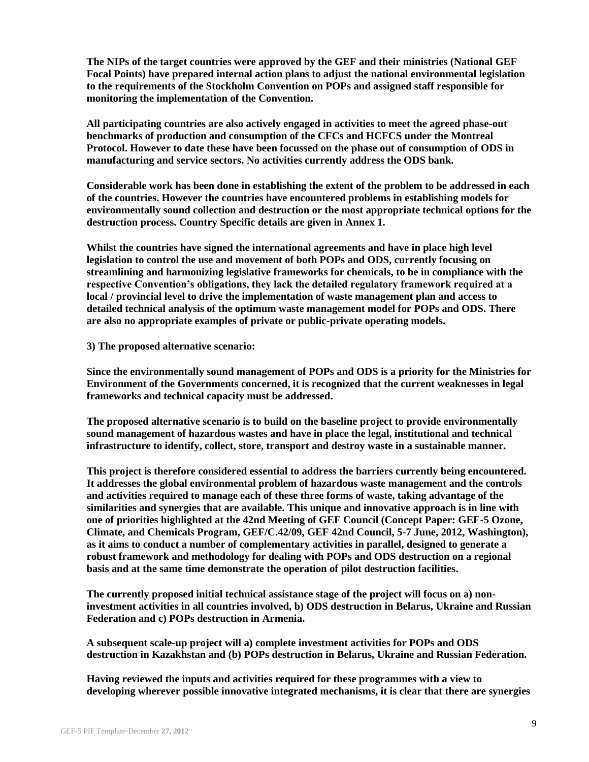**The NIPs of the target countries were approved by the GEF and their ministries (National GEF Focal Points) have prepared internal action plans to adjust the national environmental legislation to the requirements of the Stockholm Convention on POPs and assigned staff responsible for monitoring the implementation of the Convention.**

**All participating countries are also actively engaged in activities to meet the agreed phase-out benchmarks of production and consumption of the CFCs and HCFCS under the Montreal Protocol. However to date these have been focussed on the phase out of consumption of ODS in manufacturing and service sectors. No activities currently address the ODS bank.**

**Considerable work has been done in establishing the extent of the problem to be addressed in each of the countries. However the countries have encountered problems in establishing models for environmentally sound collection and destruction or the most appropriate technical options for the destruction process. Country Specific details are given in Annex 1.**

**Whilst the countries have signed the international agreements and have in place high level legislation to control the use and movement of both POPs and ODS, currently focusing on streamlining and harmonizing legislative frameworks for chemicals, to be in compliance with the respective Convention's obligations, they lack the detailed regulatory framework required at a local / provincial level to drive the implementation of waste management plan and access to detailed technical analysis of the optimum waste management model for POPs and ODS. There are also no appropriate examples of private or public-private operating models.** 

**3) The proposed alternative scenario:**

**Since the environmentally sound management of POPs and ODS is a priority for the Ministries for Environment of the Governments concerned, it is recognized that the current weaknesses in legal frameworks and technical capacity must be addressed.** 

**The proposed alternative scenario is to build on the baseline project to provide environmentally sound management of hazardous wastes and have in place the legal, institutional and technical infrastructure to identify, collect, store, transport and destroy waste in a sustainable manner.**

**This project is therefore considered essential to address the barriers currently being encountered. It addresses the global environmental problem of hazardous waste management and the controls and activities required to manage each of these three forms of waste, taking advantage of the similarities and synergies that are available. This unique and innovative approach is in line with one of priorities highlighted at the 42nd Meeting of GEF Council (Concept Paper: GEF-5 Ozone, Climate, and Chemicals Program, GEF/C.42/09, GEF 42nd Council, 5-7 June, 2012, Washington), as it aims to conduct a number of complementary activities in parallel, designed to generate a robust framework and methodology for dealing with POPs and ODS destruction on a regional basis and at the same time demonstrate the operation of pilot destruction facilities.**

**The currently proposed initial technical assistance stage of the project will focus on a) noninvestment activities in all countries involved, b) ODS destruction in Belarus, Ukraine and Russian Federation and c) POPs destruction in Armenia.** 

**A subsequent scale-up project will a) complete investment activities for POPs and ODS destruction in Kazakhstan and (b) POPs destruction in Belarus, Ukraine and Russian Federation.**

**Having reviewed the inputs and activities required for these programmes with a view to developing wherever possible innovative integrated mechanisms, it is clear that there are synergies**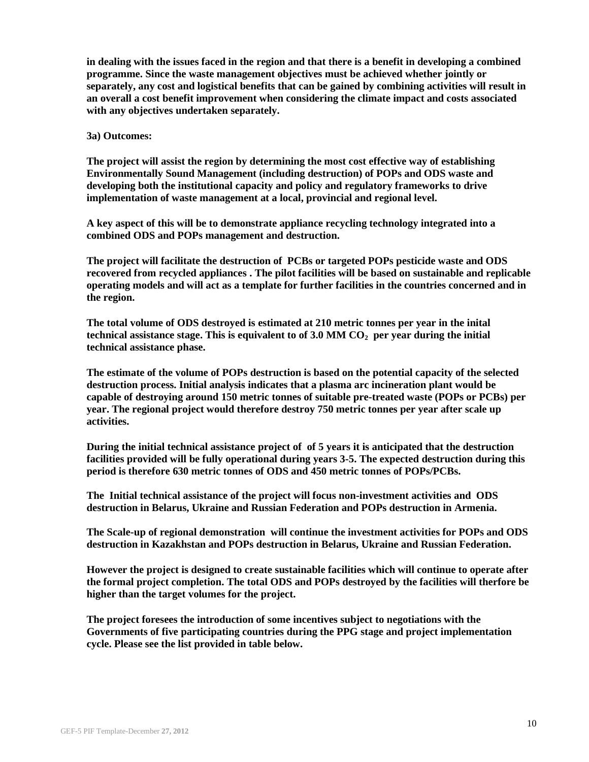**in dealing with the issues faced in the region and that there is a benefit in developing a combined programme. Since the waste management objectives must be achieved whether jointly or separately, any cost and logistical benefits that can be gained by combining activities will result in an overall a cost benefit improvement when considering the climate impact and costs associated with any objectives undertaken separately.**

#### **3a) Outcomes:**

**The project will assist the region by determining the most cost effective way of establishing Environmentally Sound Management (including destruction) of POPs and ODS waste and developing both the institutional capacity and policy and regulatory frameworks to drive implementation of waste management at a local, provincial and regional level.** 

**A key aspect of this will be to demonstrate appliance recycling technology integrated into a combined ODS and POPs management and destruction.** 

**The project will facilitate the destruction of PCBs or targeted POPs pesticide waste and ODS recovered from recycled appliances . The pilot facilities will be based on sustainable and replicable operating models and will act as a template for further facilities in the countries concerned and in the region.**

**The total volume of ODS destroyed is estimated at 210 metric tonnes per year in the inital technical assistance stage. This is equivalent to of 3.0 MM CO<sup>2</sup> per year during the initial technical assistance phase.**

**The estimate of the volume of POPs destruction is based on the potential capacity of the selected destruction process. Initial analysis indicates that a plasma arc incineration plant would be capable of destroying around 150 metric tonnes of suitable pre-treated waste (POPs or PCBs) per year. The regional project would therefore destroy 750 metric tonnes per year after scale up activities.**

**During the initial technical assistance project of of 5 years it is anticipated that the destruction facilities provided will be fully operational during years 3-5. The expected destruction during this period is therefore 630 metric tonnes of ODS and 450 metric tonnes of POPs/PCBs.**

**The Initial technical assistance of the project will focus non-investment activities and ODS destruction in Belarus, Ukraine and Russian Federation and POPs destruction in Armenia.**

**The Scale-up of regional demonstration will continue the investment activities for POPs and ODS destruction in Kazakhstan and POPs destruction in Belarus, Ukraine and Russian Federation.** 

**However the project is designed to create sustainable facilities which will continue to operate after the formal project completion. The total ODS and POPs destroyed by the facilities will therfore be higher than the target volumes for the project.**

**The project foresees the introduction of some incentives subject to negotiations with the Governments of five participating countries during the PPG stage and project implementation cycle. Please see the list provided in table below.**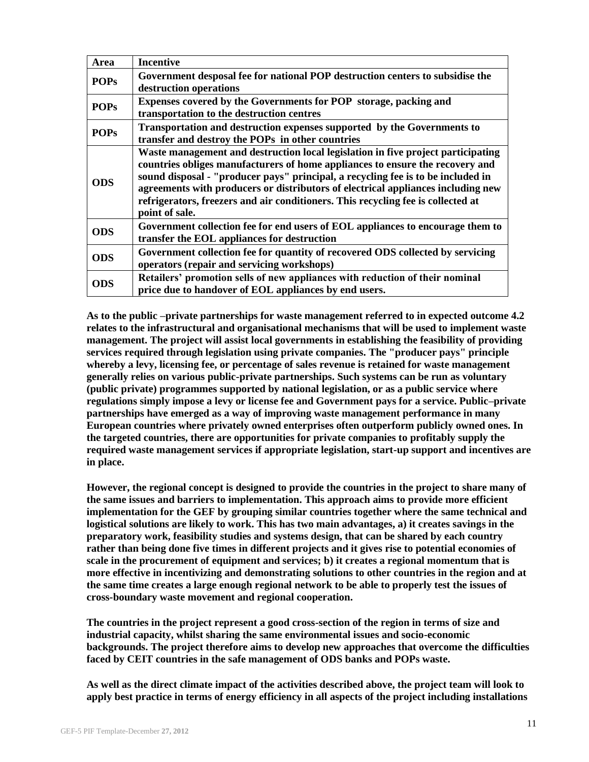| Area        | <b>Incentive</b>                                                                                                                                                                                                                                                                                                                                                                                                                                |
|-------------|-------------------------------------------------------------------------------------------------------------------------------------------------------------------------------------------------------------------------------------------------------------------------------------------------------------------------------------------------------------------------------------------------------------------------------------------------|
| <b>POPs</b> | Government desposal fee for national POP destruction centers to subsidise the<br>destruction operations                                                                                                                                                                                                                                                                                                                                         |
| <b>POPs</b> | Expenses covered by the Governments for POP storage, packing and<br>transportation to the destruction centres                                                                                                                                                                                                                                                                                                                                   |
| <b>POPs</b> | Transportation and destruction expenses supported by the Governments to<br>transfer and destroy the POPs in other countries                                                                                                                                                                                                                                                                                                                     |
| <b>ODS</b>  | Waste management and destruction local legislation in five project participating<br>countries obliges manufacturers of home appliances to ensure the recovery and<br>sound disposal - "producer pays" principal, a recycling fee is to be included in<br>agreements with producers or distributors of electrical appliances including new<br>refrigerators, freezers and air conditioners. This recycling fee is collected at<br>point of sale. |
| <b>ODS</b>  | Government collection fee for end users of EOL appliances to encourage them to<br>transfer the EOL appliances for destruction                                                                                                                                                                                                                                                                                                                   |
| <b>ODS</b>  | Government collection fee for quantity of recovered ODS collected by servicing<br>operators (repair and servicing workshops)                                                                                                                                                                                                                                                                                                                    |
| <b>ODS</b>  | Retailers' promotion sells of new appliances with reduction of their nominal<br>price due to handover of EOL appliances by end users.                                                                                                                                                                                                                                                                                                           |

**As to the public –private partnerships for waste management referred to in expected outcome 4.2 relates to the infrastructural and organisational mechanisms that will be used to implement waste management. The project will assist local governments in establishing the feasibility of providing services required through legislation using private companies. The "producer pays" principle whereby a levy, licensing fee, or percentage of sales revenue is retained for waste management generally relies on various public-private partnerships. Such systems can be run as voluntary (public private) programmes supported by national legislation, or as a public service where regulations simply impose a levy or license fee and Government pays for a service. Public–private partnerships have emerged as a way of improving waste management performance in many European countries where privately owned enterprises often outperform publicly owned ones. In the targeted countries, there are opportunities for private companies to profitably supply the required waste management services if appropriate legislation, start-up support and incentives are in place.**

**However, the regional concept is designed to provide the countries in the project to share many of the same issues and barriers to implementation. This approach aims to provide more efficient implementation for the GEF by grouping similar countries together where the same technical and logistical solutions are likely to work. This has two main advantages, a) it creates savings in the preparatory work, feasibility studies and systems design, that can be shared by each country rather than being done five times in different projects and it gives rise to potential economies of scale in the procurement of equipment and services; b) it creates a regional momentum that is more effective in incentivizing and demonstrating solutions to other countries in the region and at the same time creates a large enough regional network to be able to properly test the issues of cross-boundary waste movement and regional cooperation.**

**The countries in the project represent a good cross-section of the region in terms of size and industrial capacity, whilst sharing the same environmental issues and socio-economic backgrounds. The project therefore aims to develop new approaches that overcome the difficulties faced by CEIT countries in the safe management of ODS banks and POPs waste.**

**As well as the direct climate impact of the activities described above, the project team will look to apply best practice in terms of energy efficiency in all aspects of the project including installations**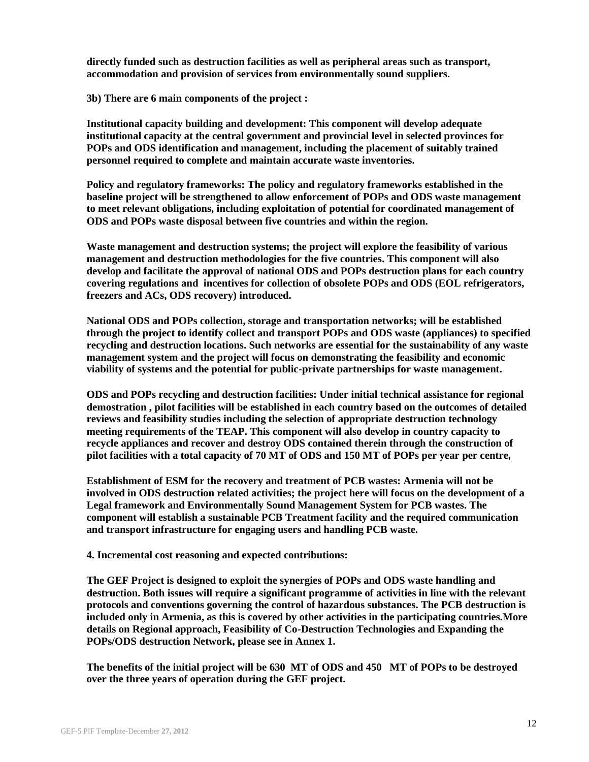**directly funded such as destruction facilities as well as peripheral areas such as transport, accommodation and provision of services from environmentally sound suppliers.**

**3b) There are 6 main components of the project :**

**Institutional capacity building and development: This component will develop adequate institutional capacity at the central government and provincial level in selected provinces for POPs and ODS identification and management, including the placement of suitably trained personnel required to complete and maintain accurate waste inventories.**

**Policy and regulatory frameworks: The policy and regulatory frameworks established in the baseline project will be strengthened to allow enforcement of POPs and ODS waste management to meet relevant obligations, including exploitation of potential for coordinated management of ODS and POPs waste disposal between five countries and within the region.**

**Waste management and destruction systems; the project will explore the feasibility of various management and destruction methodologies for the five countries. This component will also develop and facilitate the approval of national ODS and POPs destruction plans for each country covering regulations and incentives for collection of obsolete POPs and ODS (EOL refrigerators, freezers and ACs, ODS recovery) introduced.**

**National ODS and POPs collection, storage and transportation networks; will be established through the project to identify collect and transport POPs and ODS waste (appliances) to specified recycling and destruction locations. Such networks are essential for the sustainability of any waste management system and the project will focus on demonstrating the feasibility and economic viability of systems and the potential for public-private partnerships for waste management.** 

**ODS and POPs recycling and destruction facilities: Under initial technical assistance for regional demostration , pilot facilities will be established in each country based on the outcomes of detailed reviews and feasibility studies including the selection of appropriate destruction technology meeting requirements of the TEAP. This component will also develop in country capacity to recycle appliances and recover and destroy ODS contained therein through the construction of pilot facilities with a total capacity of 70 MT of ODS and 150 MT of POPs per year per centre,** 

**Establishment of ESM for the recovery and treatment of PCB wastes: Armenia will not be involved in ODS destruction related activities; the project here will focus on the development of a Legal framework and Environmentally Sound Management System for PCB wastes. The component will establish a sustainable PCB Treatment facility and the required communication and transport infrastructure for engaging users and handling PCB waste.**

**4. Incremental cost reasoning and expected contributions:**

**The GEF Project is designed to exploit the synergies of POPs and ODS waste handling and destruction. Both issues will require a significant programme of activities in line with the relevant protocols and conventions governing the control of hazardous substances. The PCB destruction is included only in Armenia, as this is covered by other activities in the participating countries.More details on Regional approach, Feasibility of Co-Destruction Technologies and Expanding the POPs/ODS destruction Network, please see in Annex 1.**

**The benefits of the initial project will be 630 MT of ODS and 450 MT of POPs to be destroyed over the three years of operation during the GEF project.**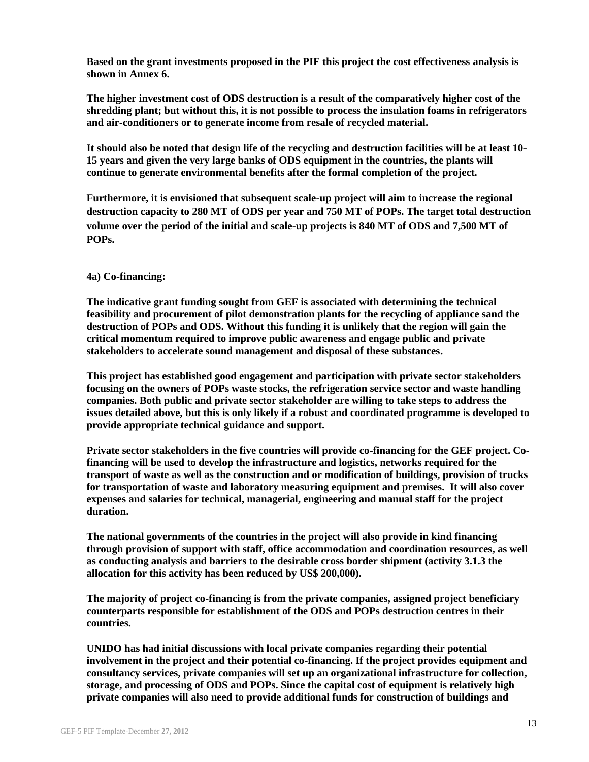**Based on the grant investments proposed in the PIF this project the cost effectiveness analysis is shown in Annex 6.**

**The higher investment cost of ODS destruction is a result of the comparatively higher cost of the shredding plant; but without this, it is not possible to process the insulation foams in refrigerators and air-conditioners or to generate income from resale of recycled material.**

**It should also be noted that design life of the recycling and destruction facilities will be at least 10- 15 years and given the very large banks of ODS equipment in the countries, the plants will continue to generate environmental benefits after the formal completion of the project.** 

**Furthermore, it is envisioned that subsequent scale-up project will aim to increase the regional destruction capacity to 280 MT of ODS per year and 750 MT of POPs. The target total destruction volume over the period of the initial and scale-up projects is 840 MT of ODS and 7,500 MT of POPs.**

#### **4a) Co-financing:**

**The indicative grant funding sought from GEF is associated with determining the technical feasibility and procurement of pilot demonstration plants for the recycling of appliance sand the destruction of POPs and ODS. Without this funding it is unlikely that the region will gain the critical momentum required to improve public awareness and engage public and private stakeholders to accelerate sound management and disposal of these substances.**

**This project has established good engagement and participation with private sector stakeholders focusing on the owners of POPs waste stocks, the refrigeration service sector and waste handling companies. Both public and private sector stakeholder are willing to take steps to address the issues detailed above, but this is only likely if a robust and coordinated programme is developed to provide appropriate technical guidance and support.** 

**Private sector stakeholders in the five countries will provide co-financing for the GEF project. Cofinancing will be used to develop the infrastructure and logistics, networks required for the transport of waste as well as the construction and or modification of buildings, provision of trucks for transportation of waste and laboratory measuring equipment and premises. It will also cover expenses and salaries for technical, managerial, engineering and manual staff for the project duration.**

**The national governments of the countries in the project will also provide in kind financing through provision of support with staff, office accommodation and coordination resources, as well as conducting analysis and barriers to the desirable cross border shipment (activity 3.1.3 the allocation for this activity has been reduced by US\$ 200,000).**

**The majority of project co-financing is from the private companies, assigned project beneficiary counterparts responsible for establishment of the ODS and POPs destruction centres in their countries.** 

**UNIDO has had initial discussions with local private companies regarding their potential involvement in the project and their potential co-financing. If the project provides equipment and consultancy services, private companies will set up an organizational infrastructure for collection, storage, and processing of ODS and POPs. Since the capital cost of equipment is relatively high private companies will also need to provide additional funds for construction of buildings and**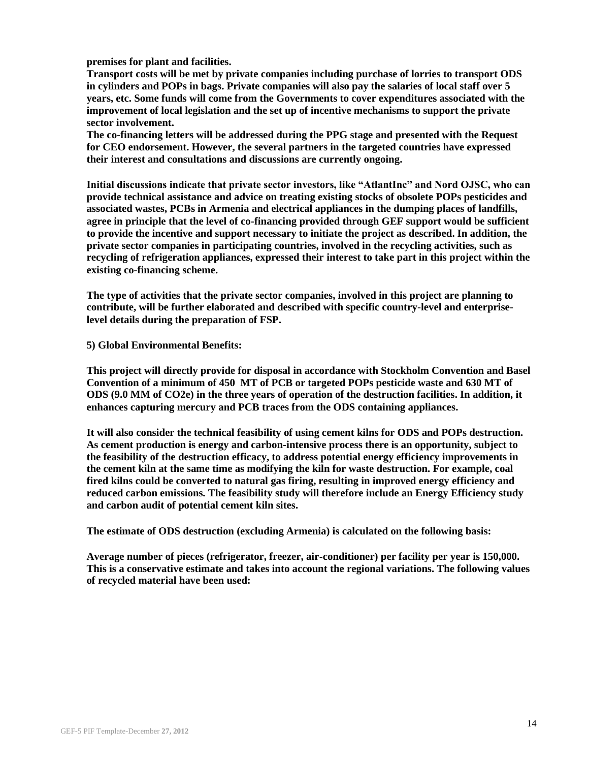**premises for plant and facilities.** 

**Transport costs will be met by private companies including purchase of lorries to transport ODS in cylinders and POPs in bags. Private companies will also pay the salaries of local staff over 5 years, etc. Some funds will come from the Governments to cover expenditures associated with the improvement of local legislation and the set up of incentive mechanisms to support the private sector involvement.**

**The co-financing letters will be addressed during the PPG stage and presented with the Request for CEO endorsement. However, the several partners in the targeted countries have expressed their interest and consultations and discussions are currently ongoing.** 

**Initial discussions indicate that private sector investors, like "AtlantInc" and Nord OJSC, who can provide technical assistance and advice on treating existing stocks of obsolete POPs pesticides and associated wastes, PCBs in Armenia and electrical appliances in the dumping places of landfills, agree in principle that the level of co-financing provided through GEF support would be sufficient to provide the incentive and support necessary to initiate the project as described. In addition, the private sector companies in participating countries, involved in the recycling activities, such as recycling of refrigeration appliances, expressed their interest to take part in this project within the existing co-financing scheme.** 

**The type of activities that the private sector companies, involved in this project are planning to contribute, will be further elaborated and described with specific country-level and enterpriselevel details during the preparation of FSP.**

**5) Global Environmental Benefits:**

**This project will directly provide for disposal in accordance with Stockholm Convention and Basel Convention of a minimum of 450 MT of PCB or targeted POPs pesticide waste and 630 MT of ODS (9.0 MM of CO2e) in the three years of operation of the destruction facilities. In addition, it enhances capturing mercury and PCB traces from the ODS containing appliances.**

**It will also consider the technical feasibility of using cement kilns for ODS and POPs destruction. As cement production is energy and carbon-intensive process there is an opportunity, subject to the feasibility of the destruction efficacy, to address potential energy efficiency improvements in the cement kiln at the same time as modifying the kiln for waste destruction. For example, coal fired kilns could be converted to natural gas firing, resulting in improved energy efficiency and reduced carbon emissions. The feasibility study will therefore include an Energy Efficiency study and carbon audit of potential cement kiln sites.**

**The estimate of ODS destruction (excluding Armenia) is calculated on the following basis:**

**Average number of pieces (refrigerator, freezer, air-conditioner) per facility per year is 150,000. This is a conservative estimate and takes into account the regional variations. The following values of recycled material have been used:**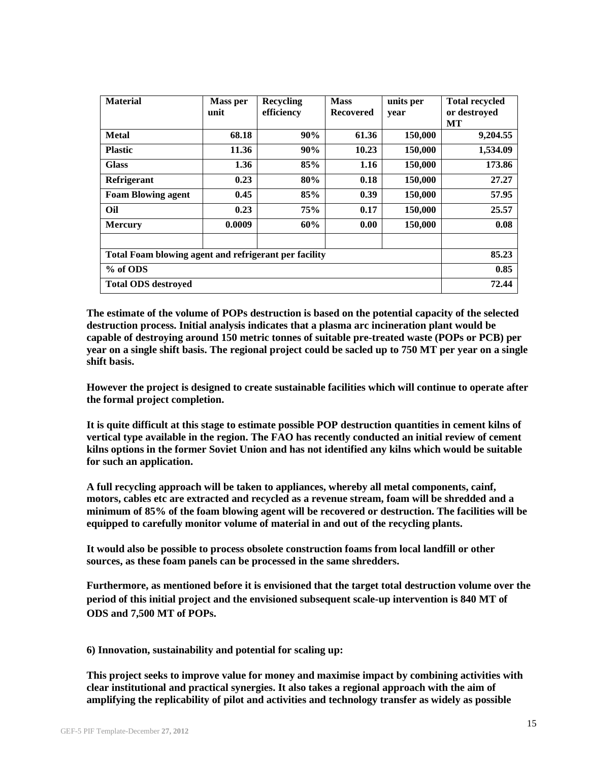| <b>Material</b>                                       | <b>Mass per</b> | <b>Recycling</b> | <b>Mass</b>      | units per | <b>Total recycled</b> |
|-------------------------------------------------------|-----------------|------------------|------------------|-----------|-----------------------|
|                                                       | unit            | efficiency       | <b>Recovered</b> | year      | or destroyed          |
|                                                       |                 |                  |                  |           | MТ                    |
| <b>Metal</b>                                          | 68.18           | 90%              | 61.36            | 150,000   | 9,204.55              |
| <b>Plastic</b>                                        | 11.36           | 90%              | 10.23            | 150,000   | 1,534.09              |
| <b>Glass</b>                                          | 1.36            | 85%              | 1.16             | 150,000   | 173.86                |
| Refrigerant                                           | 0.23            | 80%              | 0.18             | 150,000   | 27.27                 |
| <b>Foam Blowing agent</b>                             | 0.45            | 85%              | 0.39             | 150,000   | 57.95                 |
| Oil                                                   | 0.23            | <b>75%</b>       | 0.17             | 150,000   | 25.57                 |
| <b>Mercury</b>                                        | 0.0009          | 60%              | 0.00             | 150,000   | 0.08                  |
|                                                       |                 |                  |                  |           |                       |
| Total Foam blowing agent and refrigerant per facility | 85.23           |                  |                  |           |                       |
| % of ODS                                              | 0.85            |                  |                  |           |                       |
| <b>Total ODS destroved</b>                            | 72.44           |                  |                  |           |                       |

**The estimate of the volume of POPs destruction is based on the potential capacity of the selected destruction process. Initial analysis indicates that a plasma arc incineration plant would be capable of destroying around 150 metric tonnes of suitable pre-treated waste (POPs or PCB) per year on a single shift basis. The regional project could be sacled up to 750 MT per year on a single shift basis.**

**However the project is designed to create sustainable facilities which will continue to operate after the formal project completion.**

**It is quite difficult at this stage to estimate possible POP destruction quantities in cement kilns of vertical type available in the region. The FAO has recently conducted an initial review of cement kilns options in the former Soviet Union and has not identified any kilns which would be suitable for such an application.** 

**A full recycling approach will be taken to appliances, whereby all metal components, cainf, motors, cables etc are extracted and recycled as a revenue stream, foam will be shredded and a minimum of 85% of the foam blowing agent will be recovered or destruction. The facilities will be equipped to carefully monitor volume of material in and out of the recycling plants.**

**It would also be possible to process obsolete construction foams from local landfill or other sources, as these foam panels can be processed in the same shredders.**

**Furthermore, as mentioned before it is envisioned that the target total destruction volume over the period of this initial project and the envisioned subsequent scale-up intervention is 840 MT of ODS and 7,500 MT of POPs.**

**6) Innovation, sustainability and potential for scaling up:** 

**This project seeks to improve value for money and maximise impact by combining activities with clear institutional and practical synergies. It also takes a regional approach with the aim of amplifying the replicability of pilot and activities and technology transfer as widely as possible**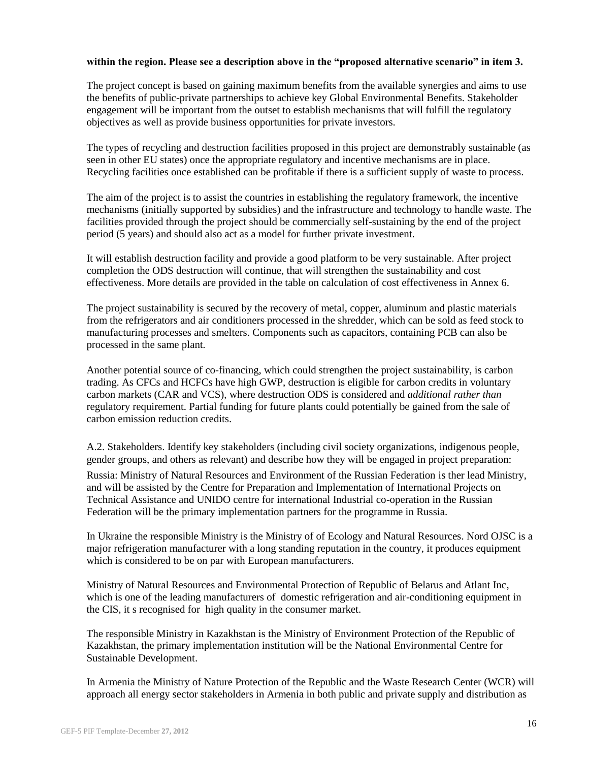#### **within the region. Please see a description above in the "proposed alternative scenario" in item 3.**

The project concept is based on gaining maximum benefits from the available synergies and aims to use the benefits of public-private partnerships to achieve key Global Environmental Benefits. Stakeholder engagement will be important from the outset to establish mechanisms that will fulfill the regulatory objectives as well as provide business opportunities for private investors.

The types of recycling and destruction facilities proposed in this project are demonstrably sustainable (as seen in other EU states) once the appropriate regulatory and incentive mechanisms are in place. Recycling facilities once established can be profitable if there is a sufficient supply of waste to process.

The aim of the project is to assist the countries in establishing the regulatory framework, the incentive mechanisms (initially supported by subsidies) and the infrastructure and technology to handle waste. The facilities provided through the project should be commercially self-sustaining by the end of the project period (5 years) and should also act as a model for further private investment.

It will establish destruction facility and provide a good platform to be very sustainable. After project completion the ODS destruction will continue, that will strengthen the sustainability and cost effectiveness. More details are provided in the table on calculation of cost effectiveness in Annex 6.

The project sustainability is secured by the recovery of metal, copper, aluminum and plastic materials from the refrigerators and air conditioners processed in the shredder, which can be sold as feed stock to manufacturing processes and smelters. Components such as capacitors, containing PCB can also be processed in the same plant.

Another potential source of co-financing, which could strengthen the project sustainability, is carbon trading. As CFCs and HCFCs have high GWP, destruction is eligible for carbon credits in voluntary carbon markets (CAR and VCS), where destruction ODS is considered and *additional rather than*  regulatory requirement. Partial funding for future plants could potentially be gained from the sale of carbon emission reduction credits.

A.2. Stakeholders. Identify key stakeholders (including civil society organizations, indigenous people, gender groups, and others as relevant) and describe how they will be engaged in project preparation:

Russia: Ministry of Natural Resources and Environment of the Russian Federation is ther lead Ministry, and will be assisted by the Centre for Preparation and Implementation of International Projects on Technical Assistance and UNIDO centre for international Industrial co-operation in the Russian Federation will be the primary implementation partners for the programme in Russia.

In Ukraine the responsible Ministry is the Ministry of of Ecology and Natural Resources. Nord OJSC is a major refrigeration manufacturer with a long standing reputation in the country, it produces equipment which is considered to be on par with European manufacturers.

Ministry of Natural Resources and Environmental Protection of Republic of Belarus and Atlant Inc, which is one of the leading manufacturers of domestic refrigeration and air-conditioning equipment in the CIS, it s recognised for high quality in the consumer market.

The responsible Ministry in Kazakhstan is the Ministry of Environment Protection of the Republic of Kazakhstan, the primary implementation institution will be the National Environmental Centre for Sustainable Development.

In Armenia the Ministry of Nature Protection of the Republic and the Waste Research Center (WCR) will approach all energy sector stakeholders in Armenia in both public and private supply and distribution as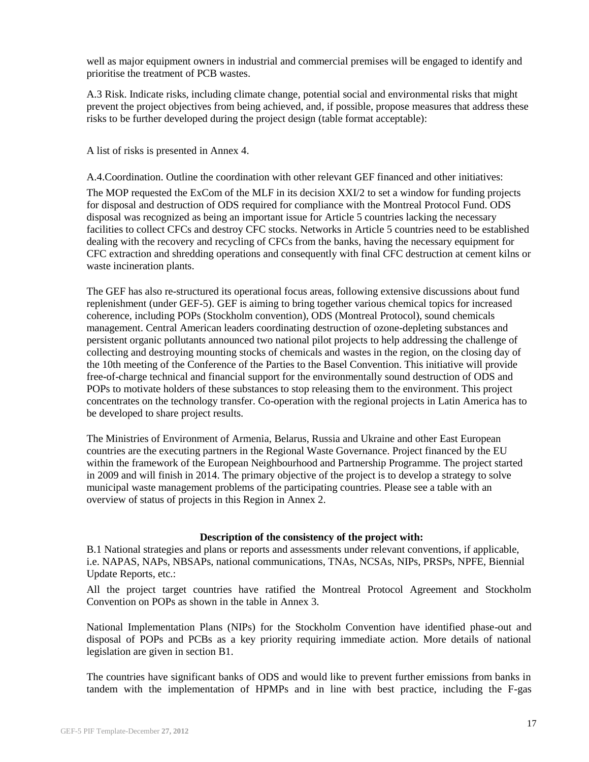well as major equipment owners in industrial and commercial premises will be engaged to identify and prioritise the treatment of PCB wastes.

A.3 Risk. Indicate risks, including climate change, potential social and environmental risks that might prevent the project objectives from being achieved, and, if possible, propose measures that address these risks to be further developed during the project design (table format acceptable):

A list of risks is presented in Annex 4.

A.4.Coordination. Outline the coordination with other relevant GEF financed and other initiatives: The MOP requested the ExCom of the MLF in its decision XXI/2 to set a window for funding projects for disposal and destruction of ODS required for compliance with the Montreal Protocol Fund. ODS disposal was recognized as being an important issue for Article 5 countries lacking the necessary facilities to collect CFCs and destroy CFC stocks. Networks in Article 5 countries need to be established dealing with the recovery and recycling of CFCs from the banks, having the necessary equipment for CFC extraction and shredding operations and consequently with final CFC destruction at cement kilns or waste incineration plants.

The GEF has also re-structured its operational focus areas, following extensive discussions about fund replenishment (under GEF-5). GEF is aiming to bring together various chemical topics for increased coherence, including POPs (Stockholm convention), ODS (Montreal Protocol), sound chemicals management. Central American leaders coordinating destruction of ozone-depleting substances and persistent organic pollutants announced two national pilot projects to help addressing the challenge of collecting and destroying mounting stocks of chemicals and wastes in the region, on the closing day of the 10th meeting of the Conference of the Parties to the Basel Convention. This initiative will provide free-of-charge technical and financial support for the environmentally sound destruction of ODS and POPs to motivate holders of these substances to stop releasing them to the environment. This project concentrates on the technology transfer. Co-operation with the regional projects in Latin America has to be developed to share project results.

The Ministries of Environment of Armenia, Belarus, Russia and Ukraine and other East European countries are the executing partners in the Regional Waste Governance. Project financed by the EU within the framework of the European Neighbourhood and Partnership Programme. The project started in 2009 and will finish in 2014. The primary objective of the project is to develop a strategy to solve municipal waste management problems of the participating countries. Please see a table with an overview of status of projects in this Region in Annex 2.

#### **Description of the consistency of the project with:**

B.1 National strategies and plans or reports and assessments under relevant conventions, if applicable, i.e. NAPAS, NAPs, NBSAPs, national communications, TNAs, NCSAs, NIPs, PRSPs, NPFE, Biennial Update Reports, etc.:

All the project target countries have ratified the Montreal Protocol Agreement and Stockholm Convention on POPs as shown in the table in Annex 3.

National Implementation Plans (NIPs) for the Stockholm Convention have identified phase-out and disposal of POPs and PCBs as a key priority requiring immediate action. More details of national legislation are given in section B1.

The countries have significant banks of ODS and would like to prevent further emissions from banks in tandem with the implementation of HPMPs and in line with best practice, including the F-gas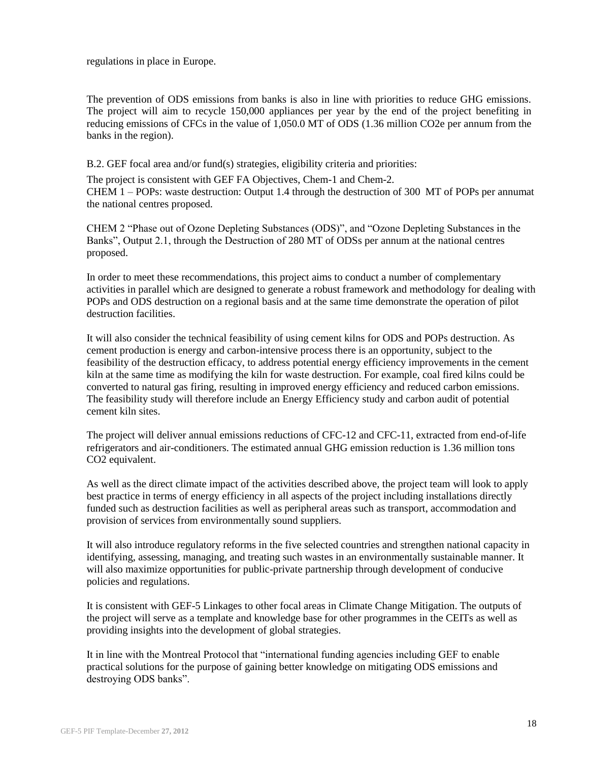regulations in place in Europe.

The prevention of ODS emissions from banks is also in line with priorities to reduce GHG emissions. The project will aim to recycle 150,000 appliances per year by the end of the project benefiting in reducing emissions of CFCs in the value of 1,050.0 MT of ODS (1.36 million CO2e per annum from the banks in the region).

B.2. GEF focal area and/or fund(s) strategies, eligibility criteria and priorities:

The project is consistent with GEF FA Objectives, Chem-1 and Chem-2. CHEM 1 – POPs: waste destruction: Output 1.4 through the destruction of 300 MT of POPs per annumat the national centres proposed.

CHEM 2 "Phase out of Ozone Depleting Substances (ODS)", and "Ozone Depleting Substances in the Banks", Output 2.1, through the Destruction of 280 MT of ODSs per annum at the national centres proposed.

In order to meet these recommendations, this project aims to conduct a number of complementary activities in parallel which are designed to generate a robust framework and methodology for dealing with POPs and ODS destruction on a regional basis and at the same time demonstrate the operation of pilot destruction facilities.

It will also consider the technical feasibility of using cement kilns for ODS and POPs destruction. As cement production is energy and carbon-intensive process there is an opportunity, subject to the feasibility of the destruction efficacy, to address potential energy efficiency improvements in the cement kiln at the same time as modifying the kiln for waste destruction. For example, coal fired kilns could be converted to natural gas firing, resulting in improved energy efficiency and reduced carbon emissions. The feasibility study will therefore include an Energy Efficiency study and carbon audit of potential cement kiln sites.

The project will deliver annual emissions reductions of CFC-12 and CFC-11, extracted from end-of-life refrigerators and air-conditioners. The estimated annual GHG emission reduction is 1.36 million tons CO2 equivalent.

As well as the direct climate impact of the activities described above, the project team will look to apply best practice in terms of energy efficiency in all aspects of the project including installations directly funded such as destruction facilities as well as peripheral areas such as transport, accommodation and provision of services from environmentally sound suppliers.

It will also introduce regulatory reforms in the five selected countries and strengthen national capacity in identifying, assessing, managing, and treating such wastes in an environmentally sustainable manner. It will also maximize opportunities for public-private partnership through development of conducive policies and regulations.

It is consistent with GEF-5 Linkages to other focal areas in Climate Change Mitigation. The outputs of the project will serve as a template and knowledge base for other programmes in the CEITs as well as providing insights into the development of global strategies.

It in line with the Montreal Protocol that "international funding agencies including GEF to enable practical solutions for the purpose of gaining better knowledge on mitigating ODS emissions and destroying ODS banks".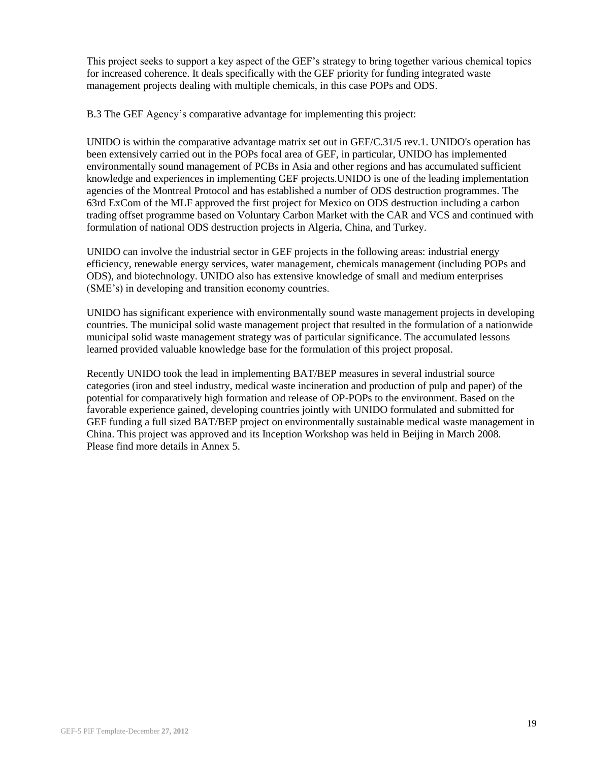This project seeks to support a key aspect of the GEF's strategy to bring together various chemical topics for increased coherence. It deals specifically with the GEF priority for funding integrated waste management projects dealing with multiple chemicals, in this case POPs and ODS.

B.3 The GEF Agency's comparative advantage for implementing this project:

UNIDO is within the comparative advantage matrix set out in GEF/C.31/5 rev.1. UNIDO's operation has been extensively carried out in the POPs focal area of GEF, in particular, UNIDO has implemented environmentally sound management of PCBs in Asia and other regions and has accumulated sufficient knowledge and experiences in implementing GEF projects.UNIDO is one of the leading implementation agencies of the Montreal Protocol and has established a number of ODS destruction programmes. The 63rd ExCom of the MLF approved the first project for Mexico on ODS destruction including a carbon trading offset programme based on Voluntary Carbon Market with the CAR and VCS and continued with formulation of national ODS destruction projects in Algeria, China, and Turkey.

UNIDO can involve the industrial sector in GEF projects in the following areas: industrial energy efficiency, renewable energy services, water management, chemicals management (including POPs and ODS), and biotechnology. UNIDO also has extensive knowledge of small and medium enterprises (SME's) in developing and transition economy countries.

UNIDO has significant experience with environmentally sound waste management projects in developing countries. The municipal solid waste management project that resulted in the formulation of a nationwide municipal solid waste management strategy was of particular significance. The accumulated lessons learned provided valuable knowledge base for the formulation of this project proposal.

Recently UNIDO took the lead in implementing BAT/BEP measures in several industrial source categories (iron and steel industry, medical waste incineration and production of pulp and paper) of the potential for comparatively high formation and release of OP-POPs to the environment. Based on the favorable experience gained, developing countries jointly with UNIDO formulated and submitted for GEF funding a full sized BAT/BEP project on environmentally sustainable medical waste management in China. This project was approved and its Inception Workshop was held in Beijing in March 2008. Please find more details in Annex 5.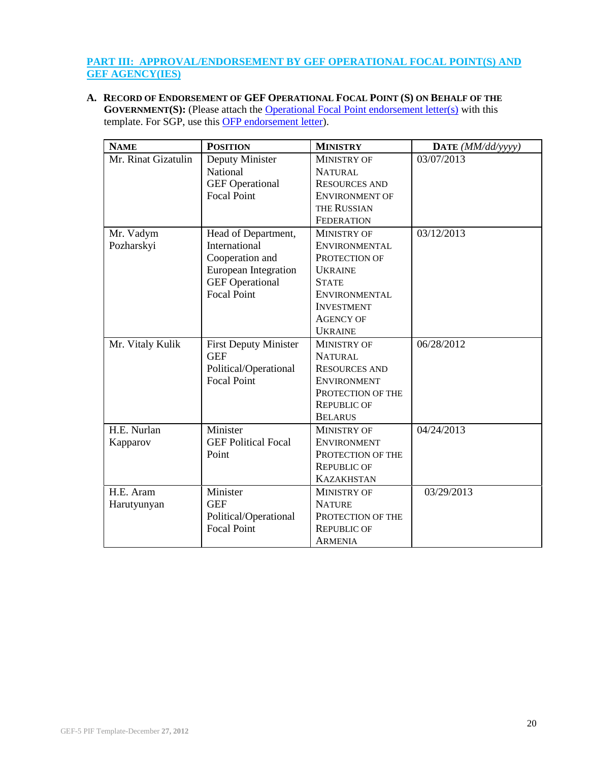### **PART III: APPROVAL/ENDORSEMENT BY GEF OPERATIONAL FOCAL POINT(S) AND GEF AGENCY(IES)**

**A. RECORD OF ENDORSEMENT OF GEF OPERATIONAL FOCAL POINT (S) ON BEHALF OF THE GOVERNMENT(S):** (Please attach the **[Operational Focal Point endorsement letter\(s\)](http://www.thegef.org/gef/sites/thegef.org/files/documents/OFP%20Endorsement%20Letter%20Template%2011-1-11_0.doc)** with this template. For SGP, use this **OFP** endorsement letter).

| <b>NAME</b>         | <b>POSITION</b>              | <b>MINISTRY</b>      | DATE (MM/dd/yyyy) |
|---------------------|------------------------------|----------------------|-------------------|
| Mr. Rinat Gizatulin | Deputy Minister              | MINISTRY OF          | 03/07/2013        |
|                     | National                     | <b>NATURAL</b>       |                   |
|                     | <b>GEF</b> Operational       | <b>RESOURCES AND</b> |                   |
|                     | <b>Focal Point</b>           | ENVIRONMENT OF       |                   |
|                     |                              | THE RUSSIAN          |                   |
|                     |                              | <b>FEDERATION</b>    |                   |
| Mr. Vadym           | Head of Department,          | <b>MINISTRY OF</b>   | 03/12/2013        |
| Pozharskyi          | International                | ENVIRONMENTAL        |                   |
|                     | Cooperation and              | PROTECTION OF        |                   |
|                     | <b>European Integration</b>  | <b>UKRAINE</b>       |                   |
|                     | <b>GEF</b> Operational       | <b>STATE</b>         |                   |
|                     | <b>Focal Point</b>           | <b>ENVIRONMENTAL</b> |                   |
|                     |                              | <b>INVESTMENT</b>    |                   |
|                     |                              | <b>AGENCY OF</b>     |                   |
|                     |                              | <b>UKRAINE</b>       |                   |
| Mr. Vitaly Kulik    | <b>First Deputy Minister</b> | <b>MINISTRY OF</b>   | 06/28/2012        |
|                     | <b>GEF</b>                   | <b>NATURAL</b>       |                   |
|                     | Political/Operational        | <b>RESOURCES AND</b> |                   |
|                     | <b>Focal Point</b>           | <b>ENVIRONMENT</b>   |                   |
|                     |                              | PROTECTION OF THE    |                   |
|                     |                              | <b>REPUBLIC OF</b>   |                   |
|                     |                              | <b>BELARUS</b>       |                   |
| H.E. Nurlan         | Minister                     | <b>MINISTRY OF</b>   | 04/24/2013        |
| Kapparov            | <b>GEF Political Focal</b>   | <b>ENVIRONMENT</b>   |                   |
|                     | Point                        | PROTECTION OF THE    |                   |
|                     |                              | <b>REPUBLIC OF</b>   |                   |
|                     |                              | <b>KAZAKHSTAN</b>    |                   |
| H.E. Aram           | Minister                     | <b>MINISTRY OF</b>   | 03/29/2013        |
| Harutyunyan         | <b>GEF</b>                   | <b>NATURE</b>        |                   |
|                     | Political/Operational        | PROTECTION OF THE    |                   |
|                     | <b>Focal Point</b>           | <b>REPUBLIC OF</b>   |                   |
|                     |                              | ARMENIA              |                   |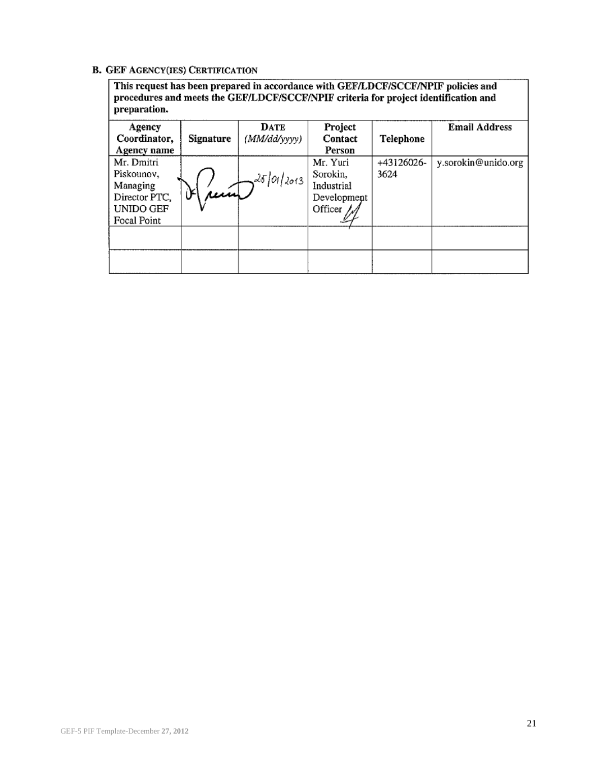### **B. GEF AGENCY(IES) CERTIFICATION**

This request has been prepared in accordance with GEF/LDCF/SCCF/NPIF policies and procedures and meets the GEF/LDCF/SCCF/NPIF criteria for project identification and preparation.

| Agency<br>Coordinator,<br>Agency name                                             | Signature                         | <b>DATE</b><br>(MM/dd/yyyy) | Project<br>Contact<br>Person                                 | Telephone          | <b>Email Address</b> |
|-----------------------------------------------------------------------------------|-----------------------------------|-----------------------------|--------------------------------------------------------------|--------------------|----------------------|
| Mr. Dmitri<br>Piskounov,<br>Managing<br>Director PTC,<br>UNIDO GEF<br>Focal Point | $\mathcal{B}(\hat{\mu}\hat{\mu})$ | $\sim$ 25/01/2013           | Mr. Yuri<br>Sorokin,<br>Industrial<br>Development<br>Officer | +43126026-<br>3624 | y.sorokin@unido.org  |
|                                                                                   |                                   |                             |                                                              |                    |                      |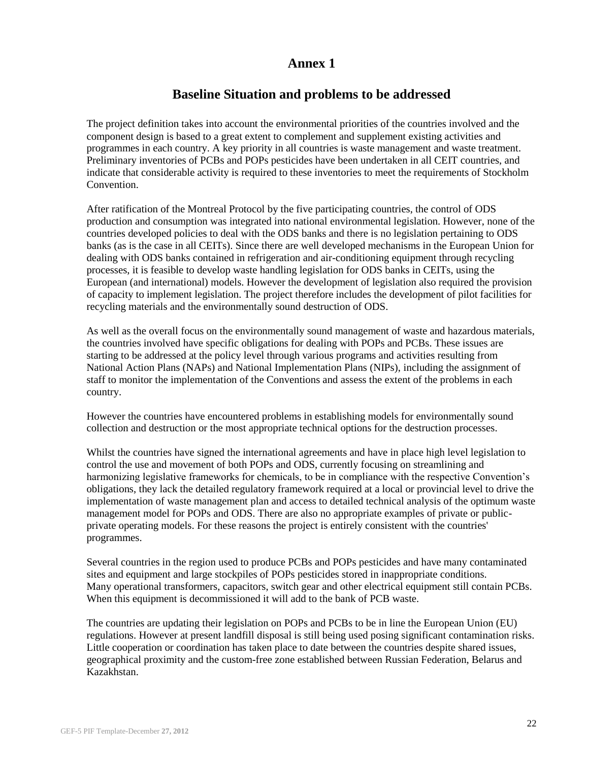## **Baseline Situation and problems to be addressed**

The project definition takes into account the environmental priorities of the countries involved and the component design is based to a great extent to complement and supplement existing activities and programmes in each country. A key priority in all countries is waste management and waste treatment. Preliminary inventories of PCBs and POPs pesticides have been undertaken in all CEIT countries, and indicate that considerable activity is required to these inventories to meet the requirements of Stockholm Convention.

After ratification of the Montreal Protocol by the five participating countries, the control of ODS production and consumption was integrated into national environmental legislation. However, none of the countries developed policies to deal with the ODS banks and there is no legislation pertaining to ODS banks (as is the case in all CEITs). Since there are well developed mechanisms in the European Union for dealing with ODS banks contained in refrigeration and air-conditioning equipment through recycling processes, it is feasible to develop waste handling legislation for ODS banks in CEITs, using the European (and international) models. However the development of legislation also required the provision of capacity to implement legislation. The project therefore includes the development of pilot facilities for recycling materials and the environmentally sound destruction of ODS.

As well as the overall focus on the environmentally sound management of waste and hazardous materials, the countries involved have specific obligations for dealing with POPs and PCBs. These issues are starting to be addressed at the policy level through various programs and activities resulting from National Action Plans (NAPs) and National Implementation Plans (NIPs), including the assignment of staff to monitor the implementation of the Conventions and assess the extent of the problems in each country.

However the countries have encountered problems in establishing models for environmentally sound collection and destruction or the most appropriate technical options for the destruction processes.

Whilst the countries have signed the international agreements and have in place high level legislation to control the use and movement of both POPs and ODS, currently focusing on streamlining and harmonizing legislative frameworks for chemicals, to be in compliance with the respective Convention's obligations, they lack the detailed regulatory framework required at a local or provincial level to drive the implementation of waste management plan and access to detailed technical analysis of the optimum waste management model for POPs and ODS. There are also no appropriate examples of private or publicprivate operating models. For these reasons the project is entirely consistent with the countries' programmes.

Several countries in the region used to produce PCBs and POPs pesticides and have many contaminated sites and equipment and large stockpiles of POPs pesticides stored in inappropriate conditions. Many operational transformers, capacitors, switch gear and other electrical equipment still contain PCBs. When this equipment is decommissioned it will add to the bank of PCB waste.

The countries are updating their legislation on POPs and PCBs to be in line the European Union (EU) regulations. However at present landfill disposal is still being used posing significant contamination risks. Little cooperation or coordination has taken place to date between the countries despite shared issues, geographical proximity and the custom-free zone established between Russian Federation, Belarus and Kazakhstan.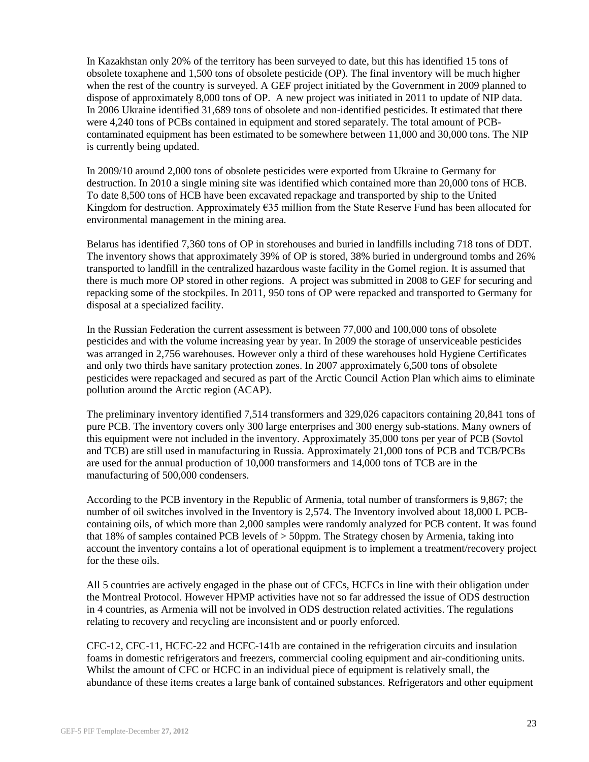In Kazakhstan only 20% of the territory has been surveyed to date, but this has identified 15 tons of obsolete toxaphene and 1,500 tons of obsolete pesticide (OP). The final inventory will be much higher when the rest of the country is surveyed. A GEF project initiated by the Government in 2009 planned to dispose of approximately 8,000 tons of OP. A new project was initiated in 2011 to update of NIP data. In 2006 Ukraine identified 31,689 tons of obsolete and non-identified pesticides. It estimated that there were 4,240 tons of PCBs contained in equipment and stored separately. The total amount of PCBcontaminated equipment has been estimated to be somewhere between 11,000 and 30,000 tons. The NIP is currently being updated.

In 2009/10 around 2,000 tons of obsolete pesticides were exported from Ukraine to Germany for destruction. In 2010 a single mining site was identified which contained more than 20,000 tons of HCB. To date 8,500 tons of HCB have been excavated repackage and transported by ship to the United Kingdom for destruction. Approximately €35 million from the State Reserve Fund has been allocated for environmental management in the mining area.

Belarus has identified 7,360 tons of OP in storehouses and buried in landfills including 718 tons of DDT. The inventory shows that approximately 39% of OP is stored, 38% buried in underground tombs and 26% transported to landfill in the centralized hazardous waste facility in the Gomel region. It is assumed that there is much more OP stored in other regions. A project was submitted in 2008 to GEF for securing and repacking some of the stockpiles. In 2011, 950 tons of OP were repacked and transported to Germany for disposal at a specialized facility.

In the Russian Federation the current assessment is between 77,000 and 100,000 tons of obsolete pesticides and with the volume increasing year by year. In 2009 the storage of unserviceable pesticides was arranged in 2,756 warehouses. However only a third of these warehouses hold Hygiene Certificates and only two thirds have sanitary protection zones. In 2007 approximately 6,500 tons of obsolete pesticides were repackaged and secured as part of the Arctic Council Action Plan which aims to eliminate pollution around the Arctic region (ACAP).

The preliminary inventory identified 7,514 transformers and 329,026 capacitors containing 20,841 tons of pure PCB. The inventory covers only 300 large enterprises and 300 energy sub-stations. Many owners of this equipment were not included in the inventory. Approximately 35,000 tons per year of PCB (Sovtol and TCB) are still used in manufacturing in Russia. Approximately 21,000 tons of PCB and TCB/PCBs are used for the annual production of 10,000 transformers and 14,000 tons of TCB are in the manufacturing of 500,000 condensers.

According to the PCB inventory in the Republic of Armenia, total number of transformers is 9,867; the number of oil switches involved in the Inventory is 2,574. The Inventory involved about 18,000 L PCBcontaining oils, of which more than 2,000 samples were randomly analyzed for PCB content. It was found that 18% of samples contained PCB levels of > 50ppm. The Strategy chosen by Armenia, taking into account the inventory contains a lot of operational equipment is to implement a treatment/recovery project for the these oils.

All 5 countries are actively engaged in the phase out of CFCs, HCFCs in line with their obligation under the Montreal Protocol. However HPMP activities have not so far addressed the issue of ODS destruction in 4 countries, as Armenia will not be involved in ODS destruction related activities. The regulations relating to recovery and recycling are inconsistent and or poorly enforced.

CFC-12, CFC-11, HCFC-22 and HCFC-141b are contained in the refrigeration circuits and insulation foams in domestic refrigerators and freezers, commercial cooling equipment and air-conditioning units. Whilst the amount of CFC or HCFC in an individual piece of equipment is relatively small, the abundance of these items creates a large bank of contained substances. Refrigerators and other equipment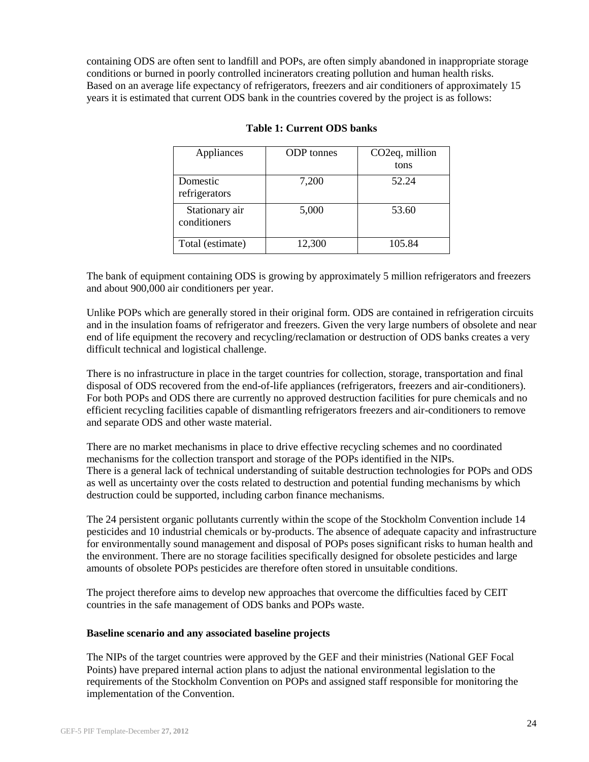containing ODS are often sent to landfill and POPs, are often simply abandoned in inappropriate storage conditions or burned in poorly controlled incinerators creating pollution and human health risks. Based on an average life expectancy of refrigerators, freezers and air conditioners of approximately 15 years it is estimated that current ODS bank in the countries covered by the project is as follows:

| Appliances                     | <b>ODP</b> tonnes | CO <sub>2</sub> eq, million |
|--------------------------------|-------------------|-----------------------------|
|                                |                   | tons                        |
| Domestic<br>refrigerators      | 7,200             | 52.24                       |
| Stationary air<br>conditioners | 5,000             | 53.60                       |
| Total (estimate)               | 12,300            | 105.84                      |

#### **Table 1: Current ODS banks**

The bank of equipment containing ODS is growing by approximately 5 million refrigerators and freezers and about 900,000 air conditioners per year.

Unlike POPs which are generally stored in their original form. ODS are contained in refrigeration circuits and in the insulation foams of refrigerator and freezers. Given the very large numbers of obsolete and near end of life equipment the recovery and recycling/reclamation or destruction of ODS banks creates a very difficult technical and logistical challenge.

There is no infrastructure in place in the target countries for collection, storage, transportation and final disposal of ODS recovered from the end-of-life appliances (refrigerators, freezers and air-conditioners). For both POPs and ODS there are currently no approved destruction facilities for pure chemicals and no efficient recycling facilities capable of dismantling refrigerators freezers and air-conditioners to remove and separate ODS and other waste material.

There are no market mechanisms in place to drive effective recycling schemes and no coordinated mechanisms for the collection transport and storage of the POPs identified in the NIPs. There is a general lack of technical understanding of suitable destruction technologies for POPs and ODS as well as uncertainty over the costs related to destruction and potential funding mechanisms by which destruction could be supported, including carbon finance mechanisms.

The 24 persistent organic pollutants currently within the scope of the Stockholm Convention include 14 pesticides and 10 industrial chemicals or by-products. The absence of adequate capacity and infrastructure for environmentally sound management and disposal of POPs poses significant risks to human health and the environment. There are no storage facilities specifically designed for obsolete pesticides and large amounts of obsolete POPs pesticides are therefore often stored in unsuitable conditions.

The project therefore aims to develop new approaches that overcome the difficulties faced by CEIT countries in the safe management of ODS banks and POPs waste.

#### **Baseline scenario and any associated baseline projects**

The NIPs of the target countries were approved by the GEF and their ministries (National GEF Focal Points) have prepared internal action plans to adjust the national environmental legislation to the requirements of the Stockholm Convention on POPs and assigned staff responsible for monitoring the implementation of the Convention.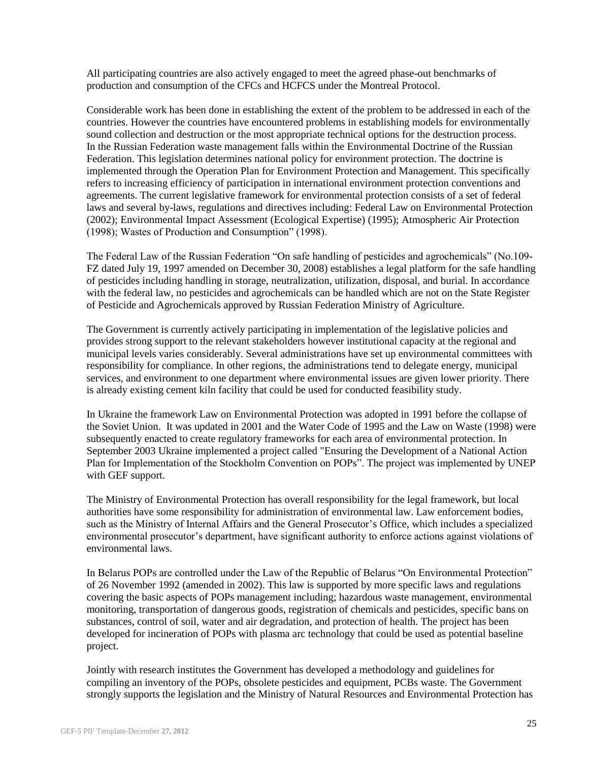All participating countries are also actively engaged to meet the agreed phase-out benchmarks of production and consumption of the CFCs and HCFCS under the Montreal Protocol.

Considerable work has been done in establishing the extent of the problem to be addressed in each of the countries. However the countries have encountered problems in establishing models for environmentally sound collection and destruction or the most appropriate technical options for the destruction process. In the Russian Federation waste management falls within the Environmental Doctrine of the Russian Federation. This legislation determines national policy for environment protection. The doctrine is implemented through the Operation Plan for Environment Protection and Management. This specifically refers to increasing efficiency of participation in international environment protection conventions and agreements. The current legislative framework for environmental protection consists of a set of federal laws and several by-laws, regulations and directives including: Federal Law on Environmental Protection (2002); Environmental Impact Assessment (Ecological Expertise) (1995); Atmospheric Air Protection (1998); Wastes of Production and Consumption" (1998).

The Federal Law of the Russian Federation "On safe handling of pesticides and agrochemicals" (No.109- FZ dated July 19, 1997 amended on December 30, 2008) establishes a legal platform for the safe handling of pesticides including handling in storage, neutralization, utilization, disposal, and burial. In accordance with the federal law, no pesticides and agrochemicals can be handled which are not on the State Register of Pesticide and Agrochemicals approved by Russian Federation Ministry of Agriculture.

The Government is currently actively participating in implementation of the legislative policies and provides strong support to the relevant stakeholders however institutional capacity at the regional and municipal levels varies considerably. Several administrations have set up environmental committees with responsibility for compliance. In other regions, the administrations tend to delegate energy, municipal services, and environment to one department where environmental issues are given lower priority. There is already existing cement kiln facility that could be used for conducted feasibility study.

In Ukraine the framework Law on Environmental Protection was adopted in 1991 before the collapse of the Soviet Union. It was updated in 2001 and the Water Code of 1995 and the Law on Waste (1998) were subsequently enacted to create regulatory frameworks for each area of environmental protection. In September 2003 Ukraine implemented a project called "Ensuring the Development of a National Action Plan for Implementation of the Stockholm Convention on POPs". The project was implemented by UNEP with GEF support.

The Ministry of Environmental Protection has overall responsibility for the legal framework, but local authorities have some responsibility for administration of environmental law. Law enforcement bodies, such as the Ministry of Internal Affairs and the General Prosecutor's Office, which includes a specialized environmental prosecutor's department, have significant authority to enforce actions against violations of environmental laws.

In Belarus POPs are controlled under the Law of the Republic of Belarus "On Environmental Protection" of 26 November 1992 (amended in 2002). This law is supported by more specific laws and regulations covering the basic aspects of POPs management including; hazardous waste management, environmental monitoring, transportation of dangerous goods, registration of chemicals and pesticides, specific bans on substances, control of soil, water and air degradation, and protection of health. The project has been developed for incineration of POPs with plasma arc technology that could be used as potential baseline project.

Jointly with research institutes the Government has developed a methodology and guidelines for compiling an inventory of the POPs, obsolete pesticides and equipment, PCBs waste. The Government strongly supports the legislation and the Ministry of Natural Resources and Environmental Protection has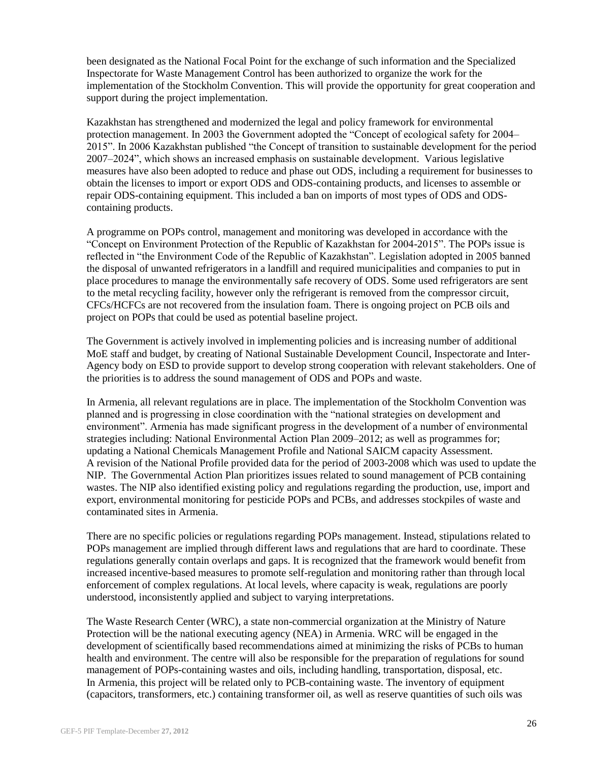been designated as the National Focal Point for the exchange of such information and the Specialized Inspectorate for Waste Management Control has been authorized to organize the work for the implementation of the Stockholm Convention. This will provide the opportunity for great cooperation and support during the project implementation.

Kazakhstan has strengthened and modernized the legal and policy framework for environmental protection management. In 2003 the Government adopted the "Concept of ecological safety for 2004– 2015". In 2006 Kazakhstan published "the Concept of transition to sustainable development for the period 2007–2024", which shows an increased emphasis on sustainable development. Various legislative measures have also been adopted to reduce and phase out ODS, including a requirement for businesses to obtain the licenses to import or export ODS and ODS-containing products, and licenses to assemble or repair ODS-containing equipment. This included a ban on imports of most types of ODS and ODScontaining products.

A programme on POPs control, management and monitoring was developed in accordance with the "Concept on Environment Protection of the Republic of Kazakhstan for 2004-2015". The POPs issue is reflected in "the Environment Code of the Republic of Kazakhstan". Legislation adopted in 2005 banned the disposal of unwanted refrigerators in a landfill and required municipalities and companies to put in place procedures to manage the environmentally safe recovery of ODS. Some used refrigerators are sent to the metal recycling facility, however only the refrigerant is removed from the compressor circuit, CFCs/HCFCs are not recovered from the insulation foam. There is ongoing project on PCB oils and project on POPs that could be used as potential baseline project.

The Government is actively involved in implementing policies and is increasing number of additional MoE staff and budget, by creating of National Sustainable Development Council, Inspectorate and Inter-Agency body on ESD to provide support to develop strong cooperation with relevant stakeholders. One of the priorities is to address the sound management of ODS and POPs and waste.

In Armenia, all relevant regulations are in place. The implementation of the Stockholm Convention was planned and is progressing in close coordination with the "national strategies on development and environment". Armenia has made significant progress in the development of a number of environmental strategies including: National Environmental Action Plan 2009–2012; as well as programmes for; updating a National Chemicals Management Profile and National SAICM capacity Assessment. A revision of the National Profile provided data for the period of 2003-2008 which was used to update the NIP. The Governmental Action Plan prioritizes issues related to sound management of PCB containing wastes. The NIP also identified existing policy and regulations regarding the production, use, import and export, environmental monitoring for pesticide POPs and PCBs, and addresses stockpiles of waste and contaminated sites in Armenia.

There are no specific policies or regulations regarding POPs management. Instead, stipulations related to POPs management are implied through different laws and regulations that are hard to coordinate. These regulations generally contain overlaps and gaps. It is recognized that the framework would benefit from increased incentive-based measures to promote self-regulation and monitoring rather than through local enforcement of complex regulations. At local levels, where capacity is weak, regulations are poorly understood, inconsistently applied and subject to varying interpretations.

The Waste Research Center (WRC), a state non-commercial organization at the Ministry of Nature Protection will be the national executing agency (NEA) in Armenia. WRC will be engaged in the development of scientifically based recommendations aimed at minimizing the risks of PCBs to human health and environment. The centre will also be responsible for the preparation of regulations for sound management of POPs-containing wastes and oils, including handling, transportation, disposal, etc. In Armenia, this project will be related only to PCB-containing waste. The inventory of equipment (capacitors, transformers, etc.) containing transformer oil, as well as reserve quantities of such oils was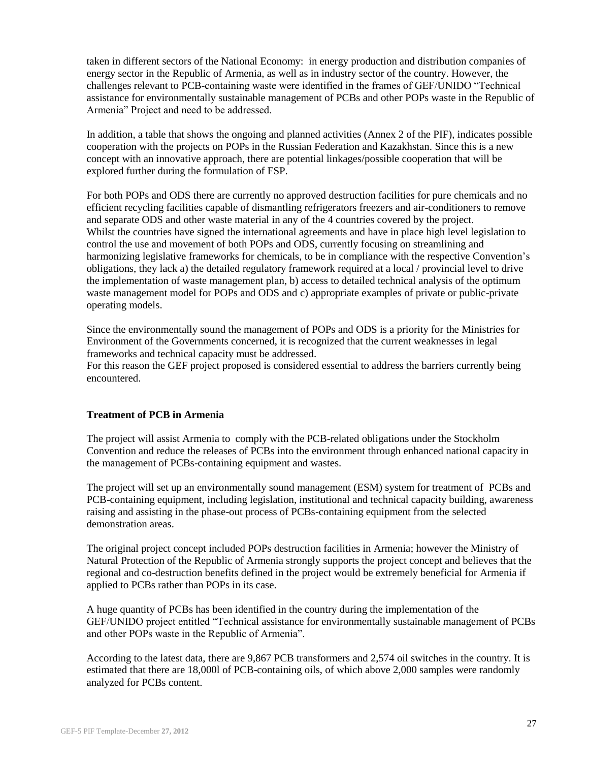taken in different sectors of the National Economy: in energy production and distribution companies of energy sector in the Republic of Armenia, as well as in industry sector of the country. However, the challenges relevant to PCB-containing waste were identified in the frames of GEF/UNIDO "Technical assistance for environmentally sustainable management of PCBs and other POPs waste in the Republic of Armenia" Project and need to be addressed.

In addition, a table that shows the ongoing and planned activities (Annex 2 of the PIF), indicates possible cooperation with the projects on POPs in the Russian Federation and Kazakhstan. Since this is a new concept with an innovative approach, there are potential linkages/possible cooperation that will be explored further during the formulation of FSP.

For both POPs and ODS there are currently no approved destruction facilities for pure chemicals and no efficient recycling facilities capable of dismantling refrigerators freezers and air-conditioners to remove and separate ODS and other waste material in any of the 4 countries covered by the project. Whilst the countries have signed the international agreements and have in place high level legislation to control the use and movement of both POPs and ODS, currently focusing on streamlining and harmonizing legislative frameworks for chemicals, to be in compliance with the respective Convention's obligations, they lack a) the detailed regulatory framework required at a local / provincial level to drive the implementation of waste management plan, b) access to detailed technical analysis of the optimum waste management model for POPs and ODS and c) appropriate examples of private or public-private operating models.

Since the environmentally sound the management of POPs and ODS is a priority for the Ministries for Environment of the Governments concerned, it is recognized that the current weaknesses in legal frameworks and technical capacity must be addressed.

For this reason the GEF project proposed is considered essential to address the barriers currently being encountered.

#### **Treatment of PCB in Armenia**

The project will assist Armenia to comply with the PCB-related obligations under the Stockholm Convention and reduce the releases of PCBs into the environment through enhanced national capacity in the management of PCBs-containing equipment and wastes.

The project will set up an environmentally sound management (ESM) system for treatment of PCBs and PCB-containing equipment, including legislation, institutional and technical capacity building, awareness raising and assisting in the phase-out process of PCBs-containing equipment from the selected demonstration areas.

The original project concept included POPs destruction facilities in Armenia; however the Ministry of Natural Protection of the Republic of Armenia strongly supports the project concept and believes that the regional and co-destruction benefits defined in the project would be extremely beneficial for Armenia if applied to PCBs rather than POPs in its case.

A huge quantity of PCBs has been identified in the country during the implementation of the GEF/UNIDO project entitled "Technical assistance for environmentally sustainable management of PCBs and other POPs waste in the Republic of Armenia".

According to the latest data, there are 9,867 PCB transformers and 2,574 oil switches in the country. It is estimated that there are 18,000l of PCB-containing oils, of which above 2,000 samples were randomly analyzed for PCBs content.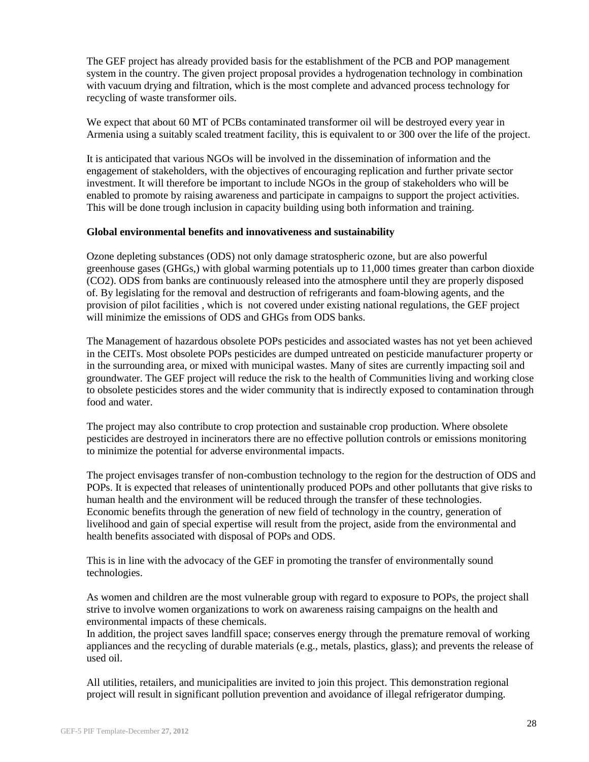The GEF project has already provided basis for the establishment of the PCB and POP management system in the country. The given project proposal provides a hydrogenation technology in combination with vacuum drying and filtration, which is the most complete and advanced process technology for recycling of waste transformer oils.

We expect that about 60 MT of PCBs contaminated transformer oil will be destroyed every year in Armenia using a suitably scaled treatment facility, this is equivalent to or 300 over the life of the project.

It is anticipated that various NGOs will be involved in the dissemination of information and the engagement of stakeholders, with the objectives of encouraging replication and further private sector investment. It will therefore be important to include NGOs in the group of stakeholders who will be enabled to promote by raising awareness and participate in campaigns to support the project activities. This will be done trough inclusion in capacity building using both information and training.

#### **Global environmental benefits and innovativeness and sustainability**

Ozone depleting substances (ODS) not only damage stratospheric ozone, but are also powerful greenhouse gases (GHGs,) with global warming potentials up to 11,000 times greater than carbon dioxide (CO2). ODS from banks are continuously released into the atmosphere until they are properly disposed of. By legislating for the removal and destruction of refrigerants and foam-blowing agents, and the provision of pilot facilities , which is not covered under existing national regulations, the GEF project will minimize the emissions of ODS and GHGs from ODS banks.

The Management of hazardous obsolete POPs pesticides and associated wastes has not yet been achieved in the CEITs. Most obsolete POPs pesticides are dumped untreated on pesticide manufacturer property or in the surrounding area, or mixed with municipal wastes. Many of sites are currently impacting soil and groundwater. The GEF project will reduce the risk to the health of Communities living and working close to obsolete pesticides stores and the wider community that is indirectly exposed to contamination through food and water

The project may also contribute to crop protection and sustainable crop production. Where obsolete pesticides are destroyed in incinerators there are no effective pollution controls or emissions monitoring to minimize the potential for adverse environmental impacts.

The project envisages transfer of non-combustion technology to the region for the destruction of ODS and POPs. It is expected that releases of unintentionally produced POPs and other pollutants that give risks to human health and the environment will be reduced through the transfer of these technologies. Economic benefits through the generation of new field of technology in the country, generation of livelihood and gain of special expertise will result from the project, aside from the environmental and health benefits associated with disposal of POPs and ODS.

This is in line with the advocacy of the GEF in promoting the transfer of environmentally sound technologies.

As women and children are the most vulnerable group with regard to exposure to POPs, the project shall strive to involve women organizations to work on awareness raising campaigns on the health and environmental impacts of these chemicals.

In addition, the project saves landfill space; conserves energy through the premature removal of working appliances and the recycling of durable materials (e.g., metals, plastics, glass); and prevents the release of used oil.

All utilities, retailers, and municipalities are invited to join this project. This demonstration regional project will result in significant pollution prevention and avoidance of illegal refrigerator dumping.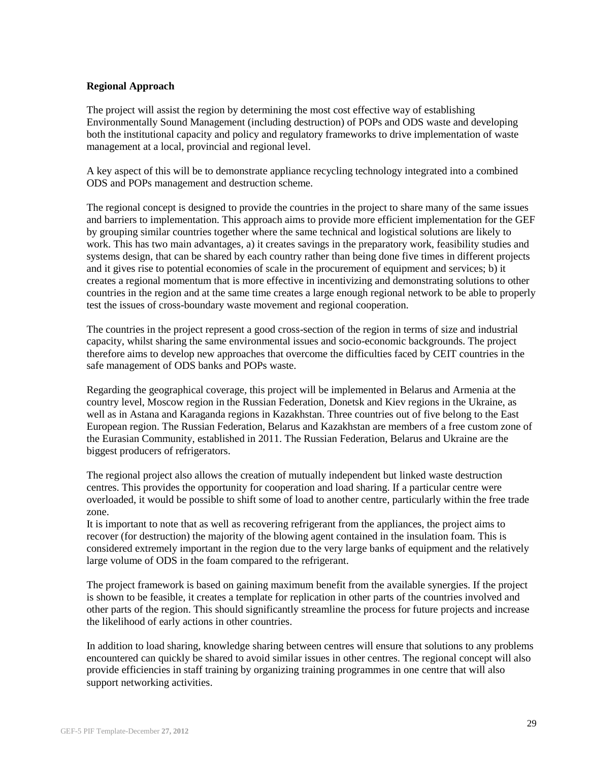#### **Regional Approach**

The project will assist the region by determining the most cost effective way of establishing Environmentally Sound Management (including destruction) of POPs and ODS waste and developing both the institutional capacity and policy and regulatory frameworks to drive implementation of waste management at a local, provincial and regional level.

A key aspect of this will be to demonstrate appliance recycling technology integrated into a combined ODS and POPs management and destruction scheme.

The regional concept is designed to provide the countries in the project to share many of the same issues and barriers to implementation. This approach aims to provide more efficient implementation for the GEF by grouping similar countries together where the same technical and logistical solutions are likely to work. This has two main advantages, a) it creates savings in the preparatory work, feasibility studies and systems design, that can be shared by each country rather than being done five times in different projects and it gives rise to potential economies of scale in the procurement of equipment and services; b) it creates a regional momentum that is more effective in incentivizing and demonstrating solutions to other countries in the region and at the same time creates a large enough regional network to be able to properly test the issues of cross-boundary waste movement and regional cooperation.

The countries in the project represent a good cross-section of the region in terms of size and industrial capacity, whilst sharing the same environmental issues and socio-economic backgrounds. The project therefore aims to develop new approaches that overcome the difficulties faced by CEIT countries in the safe management of ODS banks and POPs waste.

Regarding the geographical coverage, this project will be implemented in Belarus and Armenia at the country level, Moscow region in the Russian Federation, Donetsk and Kiev regions in the Ukraine, as well as in Astana and Karaganda regions in Kazakhstan. Three countries out of five belong to the East European region. The Russian Federation, Belarus and Kazakhstan are members of a free custom zone of the Eurasian Community, established in 2011. The Russian Federation, Belarus and Ukraine are the biggest producers of refrigerators.

The regional project also allows the creation of mutually independent but linked waste destruction centres. This provides the opportunity for cooperation and load sharing. If a particular centre were overloaded, it would be possible to shift some of load to another centre, particularly within the free trade zone.

It is important to note that as well as recovering refrigerant from the appliances, the project aims to recover (for destruction) the majority of the blowing agent contained in the insulation foam. This is considered extremely important in the region due to the very large banks of equipment and the relatively large volume of ODS in the foam compared to the refrigerant.

The project framework is based on gaining maximum benefit from the available synergies. If the project is shown to be feasible, it creates a template for replication in other parts of the countries involved and other parts of the region. This should significantly streamline the process for future projects and increase the likelihood of early actions in other countries.

In addition to load sharing, knowledge sharing between centres will ensure that solutions to any problems encountered can quickly be shared to avoid similar issues in other centres. The regional concept will also provide efficiencies in staff training by organizing training programmes in one centre that will also support networking activities.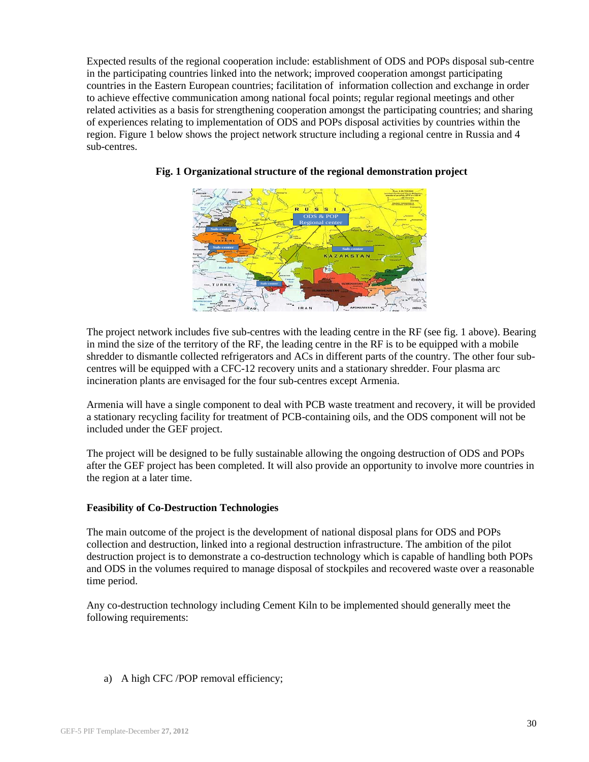Expected results of the regional cooperation include: establishment of ODS and POPs disposal sub-centre in the participating countries linked into the network; improved cooperation amongst participating countries in the Eastern European countries; facilitation of information collection and exchange in order to achieve effective communication among national focal points; regular regional meetings and other related activities as a basis for strengthening cooperation amongst the participating countries; and sharing of experiences relating to implementation of ODS and POPs disposal activities by countries within the region. Figure 1 below shows the project network structure including a regional centre in Russia and 4 sub-centres.



#### **Fig. 1 Organizational structure of the regional demonstration project**

The project network includes five sub-centres with the leading centre in the RF (see fig. 1 above). Bearing in mind the size of the territory of the RF, the leading centre in the RF is to be equipped with a mobile shredder to dismantle collected refrigerators and ACs in different parts of the country. The other four subcentres will be equipped with a CFC-12 recovery units and a stationary shredder. Four plasma arc incineration plants are envisaged for the four sub-centres except Armenia.

Armenia will have a single component to deal with PCB waste treatment and recovery, it will be provided a stationary recycling facility for treatment of PCB-containing oils, and the ODS component will not be included under the GEF project.

The project will be designed to be fully sustainable allowing the ongoing destruction of ODS and POPs after the GEF project has been completed. It will also provide an opportunity to involve more countries in the region at a later time.

#### **Feasibility of Co-Destruction Technologies**

The main outcome of the project is the development of national disposal plans for ODS and POPs collection and destruction, linked into a regional destruction infrastructure. The ambition of the pilot destruction project is to demonstrate a co-destruction technology which is capable of handling both POPs and ODS in the volumes required to manage disposal of stockpiles and recovered waste over a reasonable time period.

Any co-destruction technology including Cement Kiln to be implemented should generally meet the following requirements:

a) A high CFC /POP removal efficiency;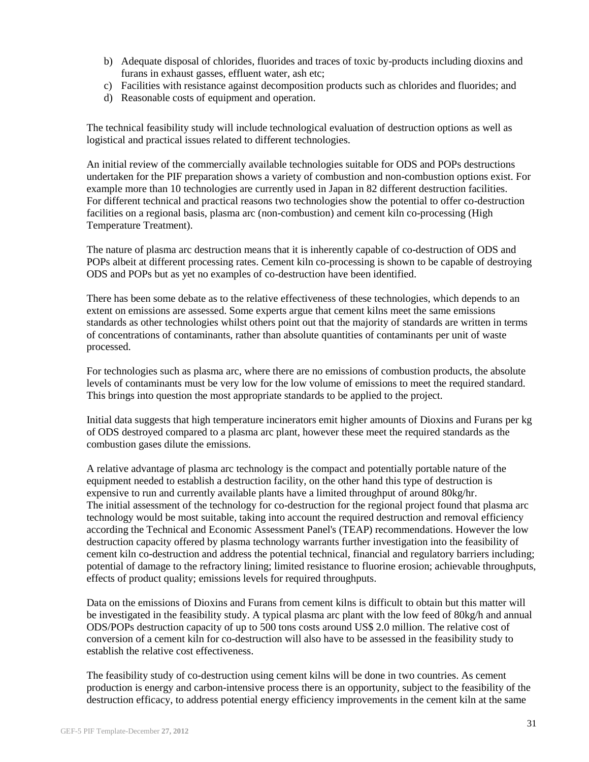- b) Adequate disposal of chlorides, fluorides and traces of toxic by-products including dioxins and furans in exhaust gasses, effluent water, ash etc;
- c) Facilities with resistance against decomposition products such as chlorides and fluorides; and
- d) Reasonable costs of equipment and operation.

The technical feasibility study will include technological evaluation of destruction options as well as logistical and practical issues related to different technologies.

An initial review of the commercially available technologies suitable for ODS and POPs destructions undertaken for the PIF preparation shows a variety of combustion and non-combustion options exist. For example more than 10 technologies are currently used in Japan in 82 different destruction facilities. For different technical and practical reasons two technologies show the potential to offer co-destruction facilities on a regional basis, plasma arc (non-combustion) and cement kiln co-processing (High Temperature Treatment).

The nature of plasma arc destruction means that it is inherently capable of co-destruction of ODS and POPs albeit at different processing rates. Cement kiln co-processing is shown to be capable of destroying ODS and POPs but as yet no examples of co-destruction have been identified.

There has been some debate as to the relative effectiveness of these technologies, which depends to an extent on emissions are assessed. Some experts argue that cement kilns meet the same emissions standards as other technologies whilst others point out that the majority of standards are written in terms of concentrations of contaminants, rather than absolute quantities of contaminants per unit of waste processed.

For technologies such as plasma arc, where there are no emissions of combustion products, the absolute levels of contaminants must be very low for the low volume of emissions to meet the required standard. This brings into question the most appropriate standards to be applied to the project.

Initial data suggests that high temperature incinerators emit higher amounts of Dioxins and Furans per kg of ODS destroyed compared to a plasma arc plant, however these meet the required standards as the combustion gases dilute the emissions.

A relative advantage of plasma arc technology is the compact and potentially portable nature of the equipment needed to establish a destruction facility, on the other hand this type of destruction is expensive to run and currently available plants have a limited throughput of around 80kg/hr. The initial assessment of the technology for co-destruction for the regional project found that plasma arc technology would be most suitable, taking into account the required destruction and removal efficiency according the Technical and Economic Assessment Panel's (TEAP) recommendations. However the low destruction capacity offered by plasma technology warrants further investigation into the feasibility of cement kiln co-destruction and address the potential technical, financial and regulatory barriers including; potential of damage to the refractory lining; limited resistance to fluorine erosion; achievable throughputs, effects of product quality; emissions levels for required throughputs.

Data on the emissions of Dioxins and Furans from cement kilns is difficult to obtain but this matter will be investigated in the feasibility study. A typical plasma arc plant with the low feed of 80kg/h and annual ODS/POPs destruction capacity of up to 500 tons costs around US\$ 2.0 million. The relative cost of conversion of a cement kiln for co-destruction will also have to be assessed in the feasibility study to establish the relative cost effectiveness.

The feasibility study of co-destruction using cement kilns will be done in two countries. As cement production is energy and carbon-intensive process there is an opportunity, subject to the feasibility of the destruction efficacy, to address potential energy efficiency improvements in the cement kiln at the same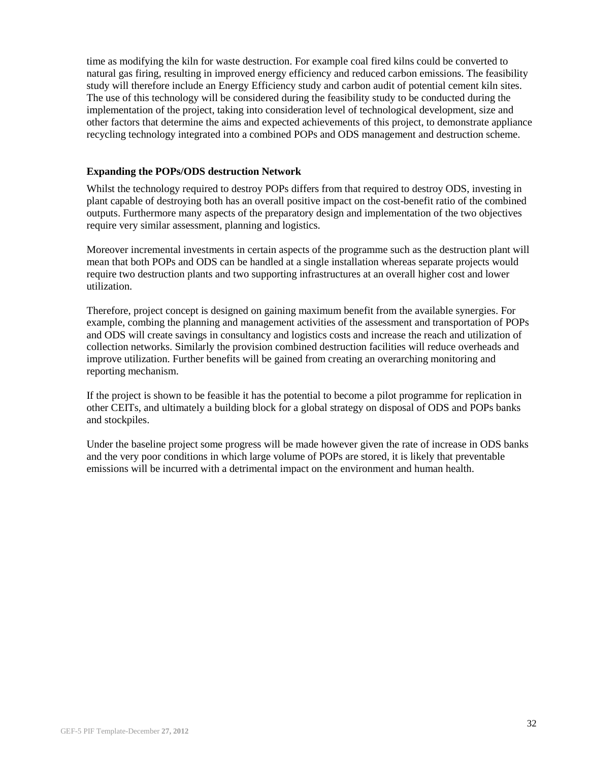time as modifying the kiln for waste destruction. For example coal fired kilns could be converted to natural gas firing, resulting in improved energy efficiency and reduced carbon emissions. The feasibility study will therefore include an Energy Efficiency study and carbon audit of potential cement kiln sites. The use of this technology will be considered during the feasibility study to be conducted during the implementation of the project, taking into consideration level of technological development, size and other factors that determine the aims and expected achievements of this project, to demonstrate appliance recycling technology integrated into a combined POPs and ODS management and destruction scheme.

#### **Expanding the POPs/ODS destruction Network**

Whilst the technology required to destroy POPs differs from that required to destroy ODS, investing in plant capable of destroying both has an overall positive impact on the cost-benefit ratio of the combined outputs. Furthermore many aspects of the preparatory design and implementation of the two objectives require very similar assessment, planning and logistics.

Moreover incremental investments in certain aspects of the programme such as the destruction plant will mean that both POPs and ODS can be handled at a single installation whereas separate projects would require two destruction plants and two supporting infrastructures at an overall higher cost and lower utilization.

Therefore, project concept is designed on gaining maximum benefit from the available synergies. For example, combing the planning and management activities of the assessment and transportation of POPs and ODS will create savings in consultancy and logistics costs and increase the reach and utilization of collection networks. Similarly the provision combined destruction facilities will reduce overheads and improve utilization. Further benefits will be gained from creating an overarching monitoring and reporting mechanism.

If the project is shown to be feasible it has the potential to become a pilot programme for replication in other CEITs, and ultimately a building block for a global strategy on disposal of ODS and POPs banks and stockpiles.

Under the baseline project some progress will be made however given the rate of increase in ODS banks and the very poor conditions in which large volume of POPs are stored, it is likely that preventable emissions will be incurred with a detrimental impact on the environment and human health.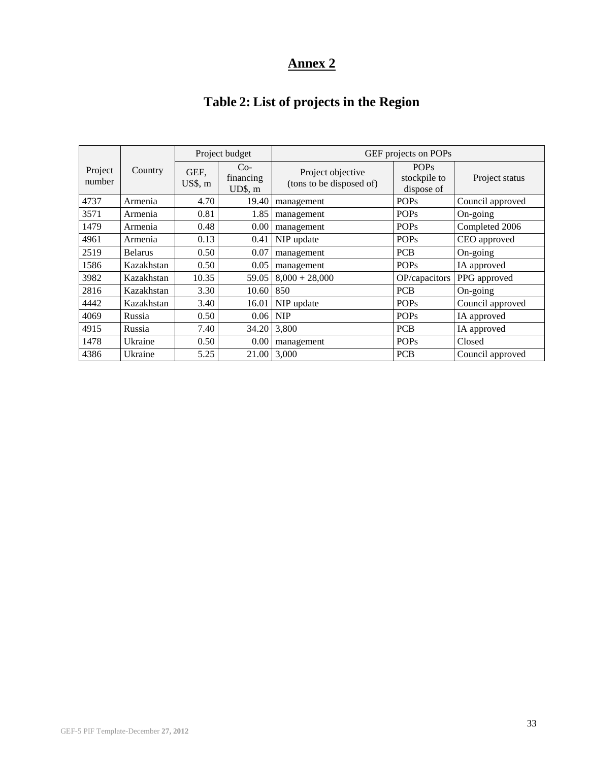# **Table 2: List of projects in the Region**

|                   |                |                 | Project budget                | GEF projects on POPs                          |                                           |                  |
|-------------------|----------------|-----------------|-------------------------------|-----------------------------------------------|-------------------------------------------|------------------|
| Project<br>number | Country        | GEF,<br>US\$, m | $Co-$<br>financing<br>UD\$, m | Project objective<br>(tons to be disposed of) | <b>POPs</b><br>stockpile to<br>dispose of | Project status   |
| 4737              | Armenia        | 4.70            | 19.40                         | management                                    | <b>POPs</b>                               | Council approved |
| 3571              | Armenia        | 0.81            | 1.85                          | management                                    | <b>POPs</b>                               | On-going         |
| 1479              | Armenia        | 0.48            | 0.00                          | management                                    | <b>POPs</b>                               | Completed 2006   |
| 4961              | Armenia        | 0.13            | 0.41                          | NIP update                                    | <b>POPs</b>                               | CEO approved     |
| 2519              | <b>Belarus</b> | 0.50            | 0.07                          | management                                    | <b>PCB</b>                                | On-going         |
| 1586              | Kazakhstan     | 0.50            | 0.05                          | management                                    | <b>POPs</b>                               | IA approved      |
| 3982              | Kazakhstan     | 10.35           | 59.05                         | $8,000 + 28,000$                              | OP/capacitors                             | PPG approved     |
| 2816              | Kazakhstan     | 3.30            | 10.60                         | 850                                           | <b>PCB</b>                                | On-going         |
| 4442              | Kazakhstan     | 3.40            | 16.01                         | NIP update                                    | <b>POPs</b>                               | Council approved |
| 4069              | Russia         | 0.50            | 0.06                          | <b>NIP</b>                                    | <b>POPs</b>                               | IA approved      |
| 4915              | Russia         | 7.40            | 34.20                         | 3,800                                         | <b>PCB</b>                                | IA approved      |
| 1478              | Ukraine        | 0.50            | $0.00\,$                      | management                                    | <b>POPs</b>                               | Closed           |
| 4386              | Ukraine        | 5.25            | 21.00                         | 3,000                                         | <b>PCB</b>                                | Council approved |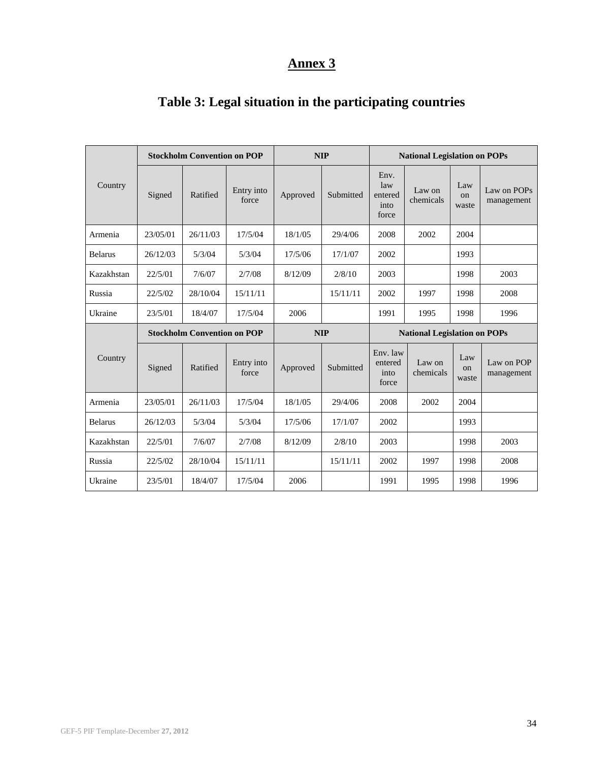|                |                                    | <b>Stockholm Convention on POP</b> |                     |          | <b>NIP</b> |                                         | <b>National Legislation on POPs</b> |                    |                           |  |
|----------------|------------------------------------|------------------------------------|---------------------|----------|------------|-----------------------------------------|-------------------------------------|--------------------|---------------------------|--|
| Country        | Signed                             | Ratified                           | Entry into<br>force | Approved | Submitted  | Env.<br>law<br>entered<br>into<br>force | Law on<br>chemicals                 | Law<br>on<br>waste | Law on POPs<br>management |  |
| Armenia        | 23/05/01                           | 26/11/03                           | 17/5/04             | 18/1/05  | 29/4/06    | 2008                                    | 2002                                | 2004               |                           |  |
| <b>Belarus</b> | 26/12/03                           | 5/3/04                             | 5/3/04              | 17/5/06  | 17/1/07    | 2002                                    |                                     | 1993               |                           |  |
| Kazakhstan     | 22/5/01                            | 7/6/07                             | 2/7/08              | 8/12/09  | 2/8/10     | 2003                                    |                                     | 1998               | 2003                      |  |
| Russia         | 22/5/02                            | 28/10/04                           | 15/11/11            |          | 15/11/11   | 2002<br>1997                            |                                     | 1998               | 2008                      |  |
| Ukraine        | 23/5/01                            | 18/4/07                            | 17/5/04             | 2006     |            | 1991                                    | 1995                                | 1998               | 1996                      |  |
|                | <b>Stockholm Convention on POP</b> |                                    |                     |          | <b>NIP</b> | <b>National Legislation on POPs</b>     |                                     |                    |                           |  |
| Country        | Signed                             | Ratified                           | Entry into<br>force | Approved | Submitted  | Env. law<br>entered<br>into<br>force    | Law on<br>chemicals                 | Law<br>on<br>waste | Law on POP<br>management  |  |
| Armenia        | 23/05/01                           | 26/11/03                           | 17/5/04             | 18/1/05  | 29/4/06    | 2008                                    | 2002                                | 2004               |                           |  |
| <b>Belarus</b> | 26/12/03                           | 5/3/04                             | 5/3/04              | 17/5/06  | 17/1/07    | 2002                                    |                                     |                    |                           |  |
| Kazakhstan     | 22/5/01                            | 7/6/07                             | 2/7/08              | 8/12/09  | 2/8/10     | 2003                                    |                                     | 1998               | 2003                      |  |
| Russia         | 22/5/02                            | 28/10/04                           | 15/11/11            |          | 15/11/11   | 2002                                    | 1997                                | 1998               | 2008                      |  |
| Ukraine        | 23/5/01                            | 18/4/07                            | 17/5/04             | 2006     |            | 1991                                    | 1995                                | 1998               | 1996                      |  |

# **Table 3: Legal situation in the participating countries**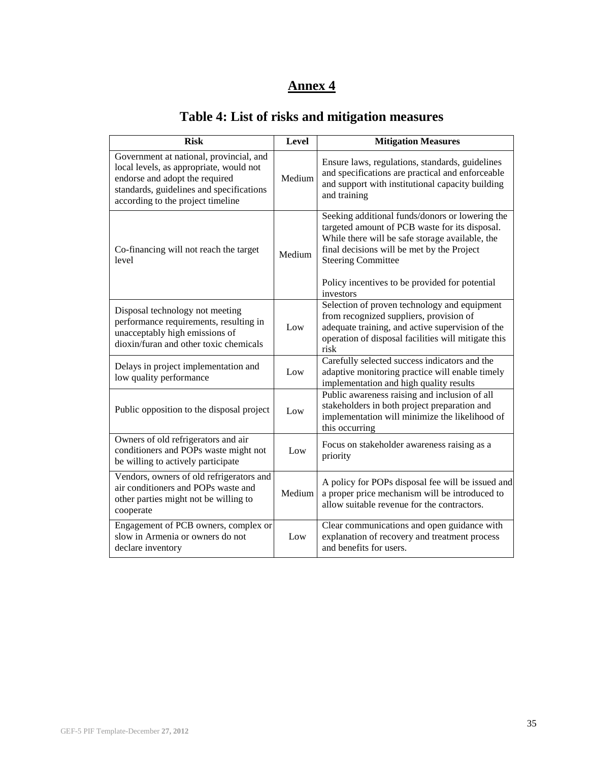| <b>Risk</b>                                                                                                                                                                                           | Level  | <b>Mitigation Measures</b>                                                                                                                                                                                                                                                                     |
|-------------------------------------------------------------------------------------------------------------------------------------------------------------------------------------------------------|--------|------------------------------------------------------------------------------------------------------------------------------------------------------------------------------------------------------------------------------------------------------------------------------------------------|
| Government at national, provincial, and<br>local levels, as appropriate, would not<br>endorse and adopt the required<br>standards, guidelines and specifications<br>according to the project timeline | Medium | Ensure laws, regulations, standards, guidelines<br>and specifications are practical and enforceable<br>and support with institutional capacity building<br>and training                                                                                                                        |
| Co-financing will not reach the target<br>level                                                                                                                                                       | Medium | Seeking additional funds/donors or lowering the<br>targeted amount of PCB waste for its disposal.<br>While there will be safe storage available, the<br>final decisions will be met by the Project<br><b>Steering Committee</b><br>Policy incentives to be provided for potential<br>investors |
| Disposal technology not meeting<br>performance requirements, resulting in<br>unacceptably high emissions of<br>dioxin/furan and other toxic chemicals                                                 | Low    | Selection of proven technology and equipment<br>from recognized suppliers, provision of<br>adequate training, and active supervision of the<br>operation of disposal facilities will mitigate this<br>risk                                                                                     |
| Delays in project implementation and<br>low quality performance                                                                                                                                       | Low    | Carefully selected success indicators and the<br>adaptive monitoring practice will enable timely<br>implementation and high quality results                                                                                                                                                    |
| Public opposition to the disposal project                                                                                                                                                             | Low    | Public awareness raising and inclusion of all<br>stakeholders in both project preparation and<br>implementation will minimize the likelihood of<br>this occurring                                                                                                                              |
| Owners of old refrigerators and air<br>conditioners and POPs waste might not<br>be willing to actively participate                                                                                    | Low    | Focus on stakeholder awareness raising as a<br>priority                                                                                                                                                                                                                                        |
| Vendors, owners of old refrigerators and<br>air conditioners and POPs waste and<br>other parties might not be willing to<br>cooperate                                                                 | Medium | A policy for POPs disposal fee will be issued and<br>a proper price mechanism will be introduced to<br>allow suitable revenue for the contractors.                                                                                                                                             |
| Engagement of PCB owners, complex or<br>slow in Armenia or owners do not<br>declare inventory                                                                                                         | Low    | Clear communications and open guidance with<br>explanation of recovery and treatment process<br>and benefits for users.                                                                                                                                                                        |

# **Table 4: List of risks and mitigation measures**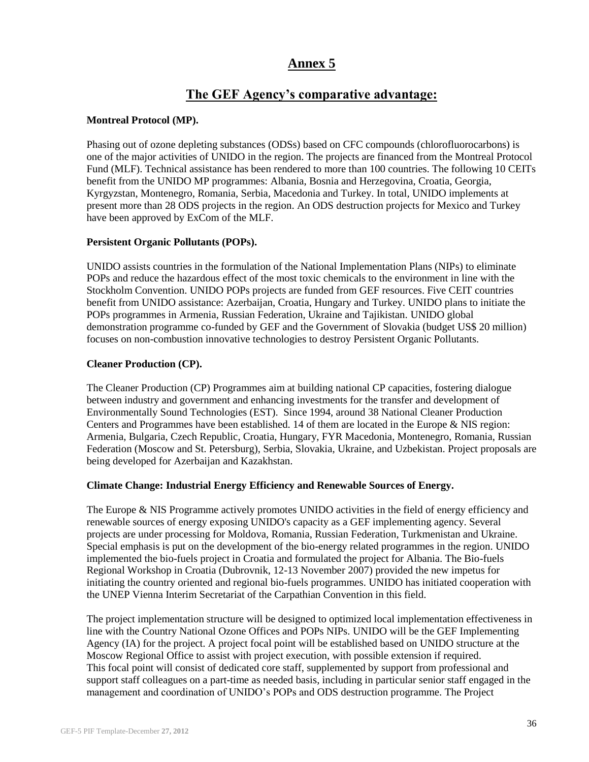# **The GEF Agency's comparative advantage:**

#### **Montreal Protocol (MP).**

Phasing out of ozone depleting substances (ODSs) based on CFC compounds (chlorofluorocarbons) is one of the major activities of UNIDO in the region. The projects are financed from the Montreal Protocol Fund (MLF). Technical assistance has been rendered to more than 100 countries. The following 10 CEITs benefit from the UNIDO MP programmes: Albania, Bosnia and Herzegovina, Croatia, Georgia, Kyrgyzstan, Montenegro, Romania, Serbia, Macedonia and Turkey. In total, UNIDO implements at present more than 28 ODS projects in the region. An ODS destruction projects for Mexico and Turkey have been approved by ExCom of the MLF.

#### **Persistent Organic Pollutants (POPs).**

UNIDO assists countries in the formulation of the National Implementation Plans (NIPs) to eliminate POPs and reduce the hazardous effect of the most toxic chemicals to the environment in line with the Stockholm Convention. UNIDO POPs projects are funded from GEF resources. Five CEIT countries benefit from UNIDO assistance: Azerbaijan, Croatia, Hungary and Turkey. UNIDO plans to initiate the POPs programmes in Armenia, Russian Federation, Ukraine and Tajikistan. UNIDO global demonstration programme co-funded by GEF and the Government of Slovakia (budget US\$ 20 million) focuses on non-combustion innovative technologies to destroy Persistent Organic Pollutants.

#### **Cleaner Production (CP).**

The Cleaner Production (CP) Programmes aim at building national CP capacities, fostering dialogue between industry and government and enhancing investments for the transfer and development of Environmentally Sound Technologies (EST). Since 1994, around 38 National Cleaner Production Centers and Programmes have been established. 14 of them are located in the Europe & NIS region: Armenia, Bulgaria, Czech Republic, Croatia, Hungary, FYR Macedonia, Montenegro, Romania, Russian Federation (Moscow and St. Petersburg), Serbia, Slovakia, Ukraine, and Uzbekistan. Project proposals are being developed for Azerbaijan and Kazakhstan.

#### **Climate Change: Industrial Energy Efficiency and Renewable Sources of Energy.**

The Europe & NIS Programme actively promotes UNIDO activities in the field of energy efficiency and renewable sources of energy exposing UNIDO's capacity as a GEF implementing agency. Several projects are under processing for Moldova, Romania, Russian Federation, Turkmenistan and Ukraine. Special emphasis is put on the development of the bio-energy related programmes in the region. UNIDO implemented the bio-fuels project in Croatia and formulated the project for Albania. The Bio-fuels Regional Workshop in Croatia (Dubrovnik, 12-13 November 2007) provided the new impetus for initiating the country oriented and regional bio-fuels programmes. UNIDO has initiated cooperation with the UNEP Vienna Interim Secretariat of the Carpathian Convention in this field.

The project implementation structure will be designed to optimized local implementation effectiveness in line with the Country National Ozone Offices and POPs NIPs. UNIDO will be the GEF Implementing Agency (IA) for the project. A project focal point will be established based on UNIDO structure at the Moscow Regional Office to assist with project execution, with possible extension if required. This focal point will consist of dedicated core staff, supplemented by support from professional and support staff colleagues on a part-time as needed basis, including in particular senior staff engaged in the management and coordination of UNIDO's POPs and ODS destruction programme. The Project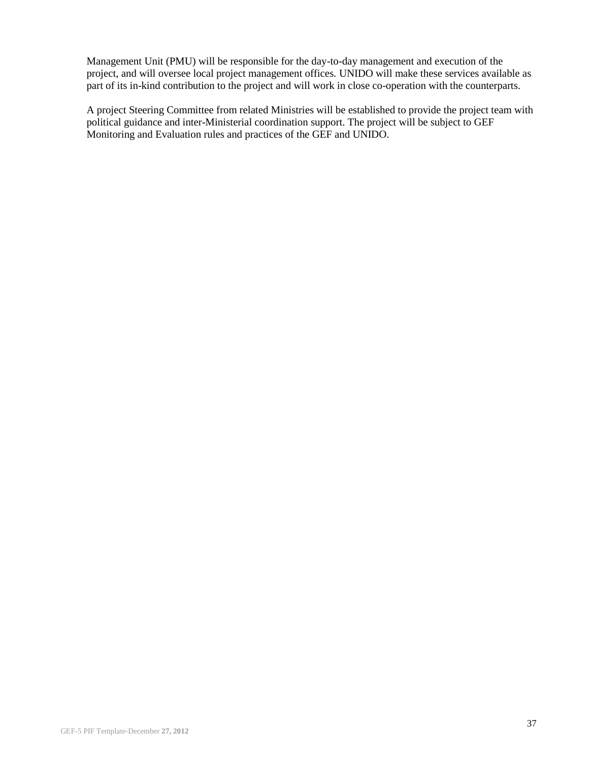Management Unit (PMU) will be responsible for the day-to-day management and execution of the project, and will oversee local project management offices. UNIDO will make these services available as part of its in-kind contribution to the project and will work in close co-operation with the counterparts.

A project Steering Committee from related Ministries will be established to provide the project team with political guidance and inter-Ministerial coordination support. The project will be subject to GEF Monitoring and Evaluation rules and practices of the GEF and UNIDO.